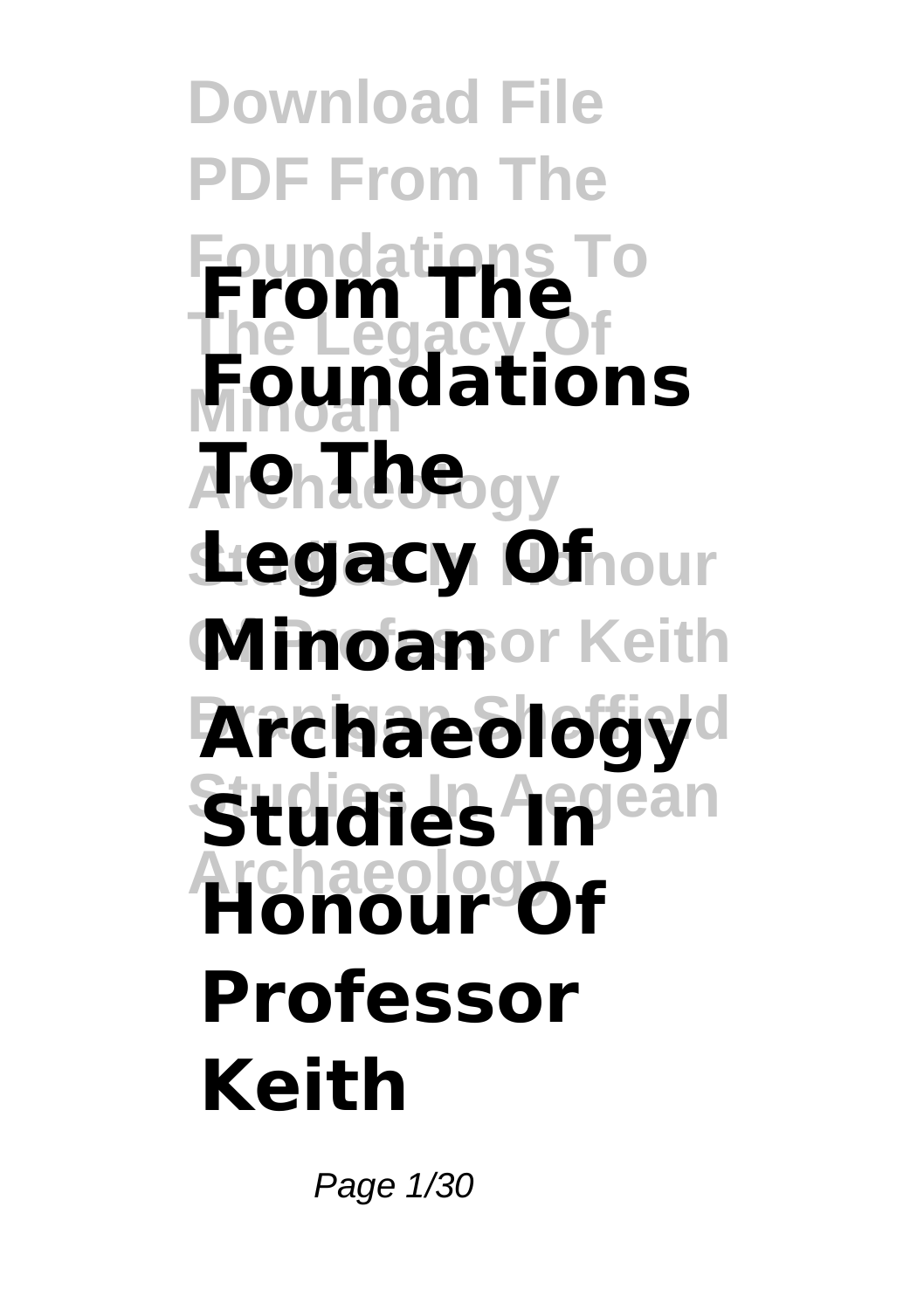**Download File PDF From The Foundations To From The The Legacy Of Minoan Foundations Ā Չ**ոնենգեր **Stegacy Officure Minoan**or Keith **Archaeology**d **Studies In Pean Archaeology Honour Of Professor Keith**

Page 1/30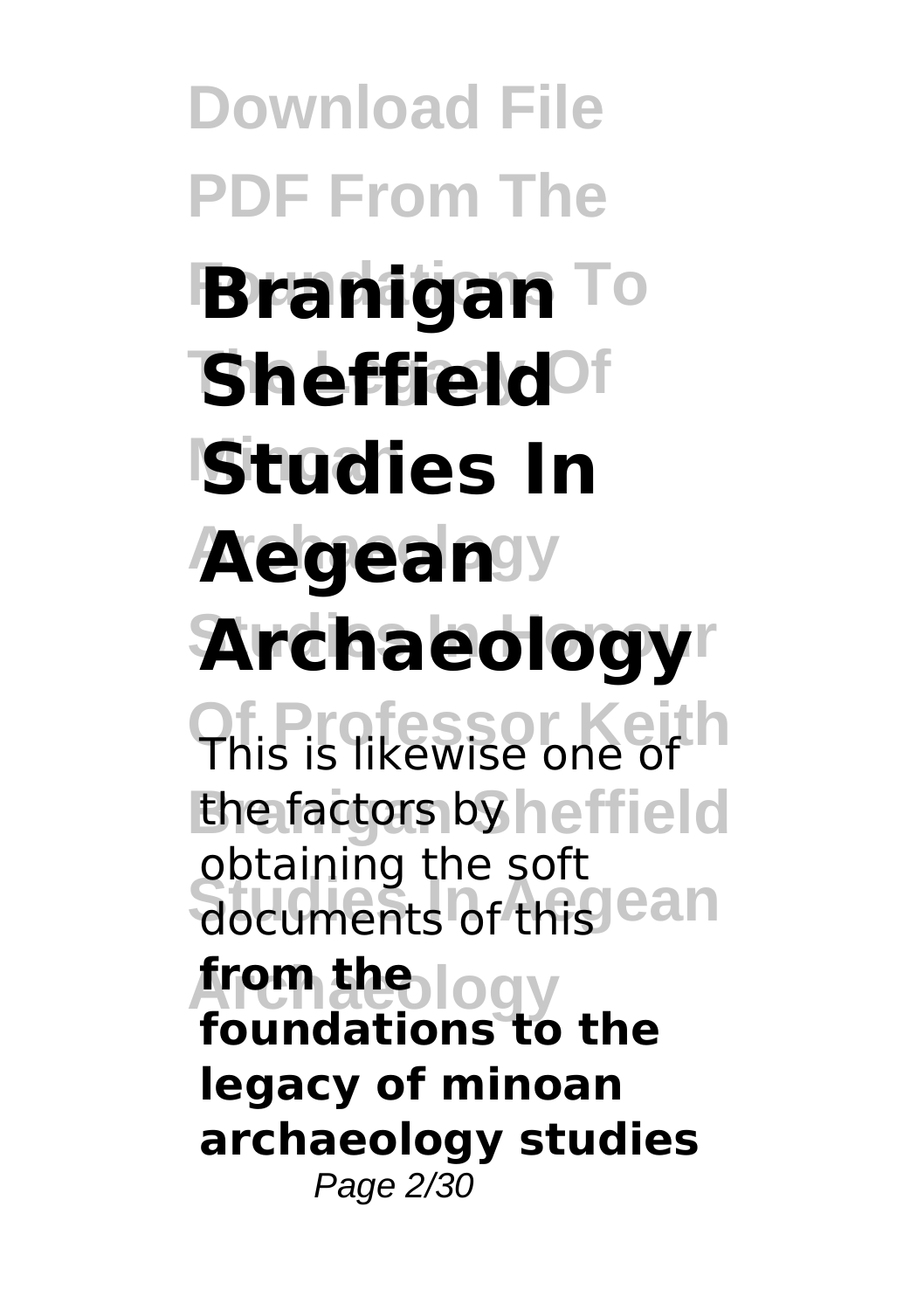**Download File PDF From The Branigan** To **Sheffield<sup>of</sup> Minoan Studies In Aegean**sy **Studies In Honour Archaeology Of Professor Keith** This is likewise one of the factors by heffield documents of this ean **Archaeology from the** obtaining the soft **foundations to the legacy of minoan archaeology studies** Page 2/30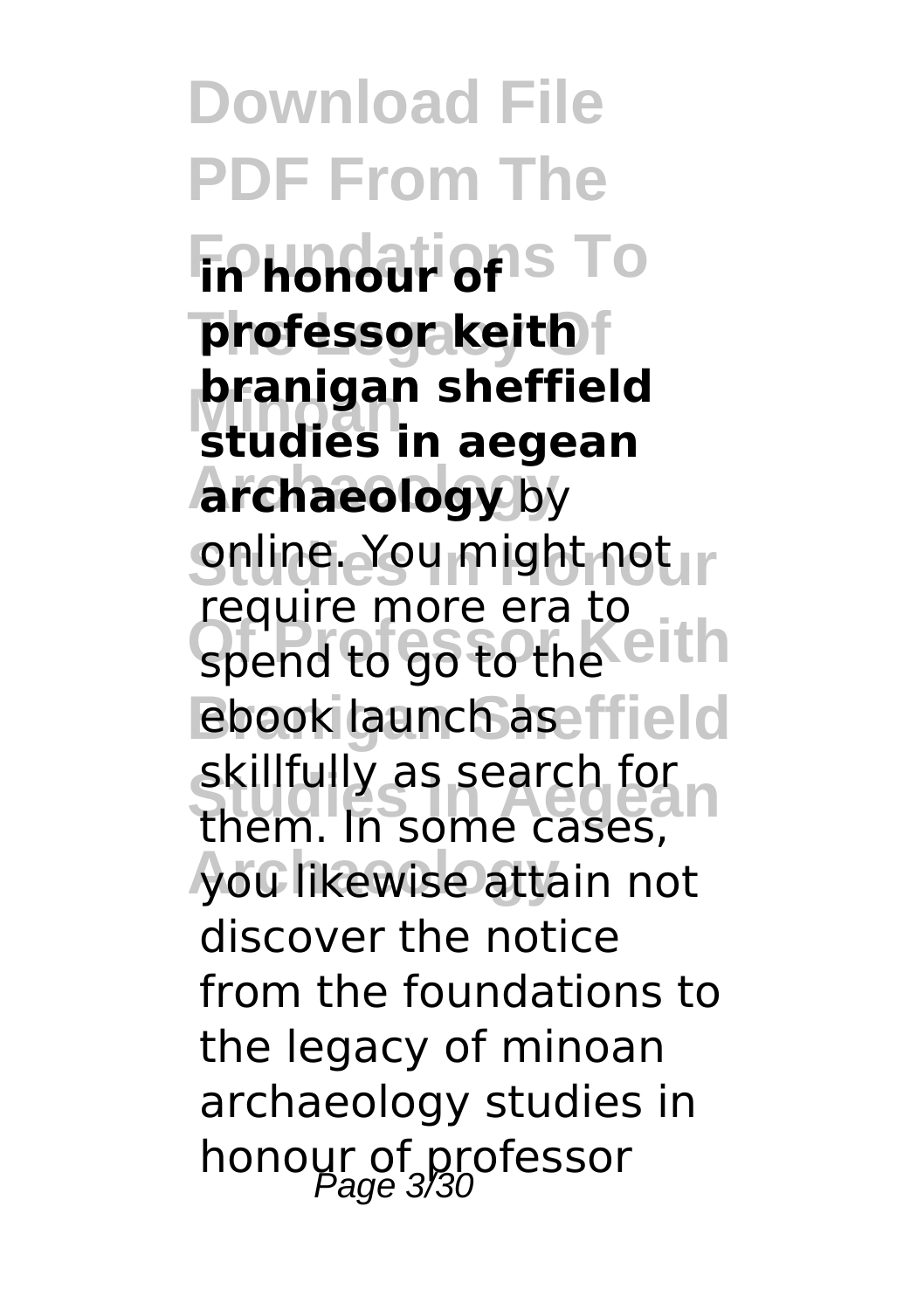**Download File PDF From The Foundations** To **The Legacy Of professor keith Minoan studies in aegean Archaeology archaeology** by **Snline. You might not in** spend to go to the eith ebook launch aseffield **SKIIIUIIV** as Search for **In Archaeology** you likewise attain not **branigan sheffield** require more era to skillfully as search for discover the notice from the foundations to the legacy of minoan archaeology studies in honour of professor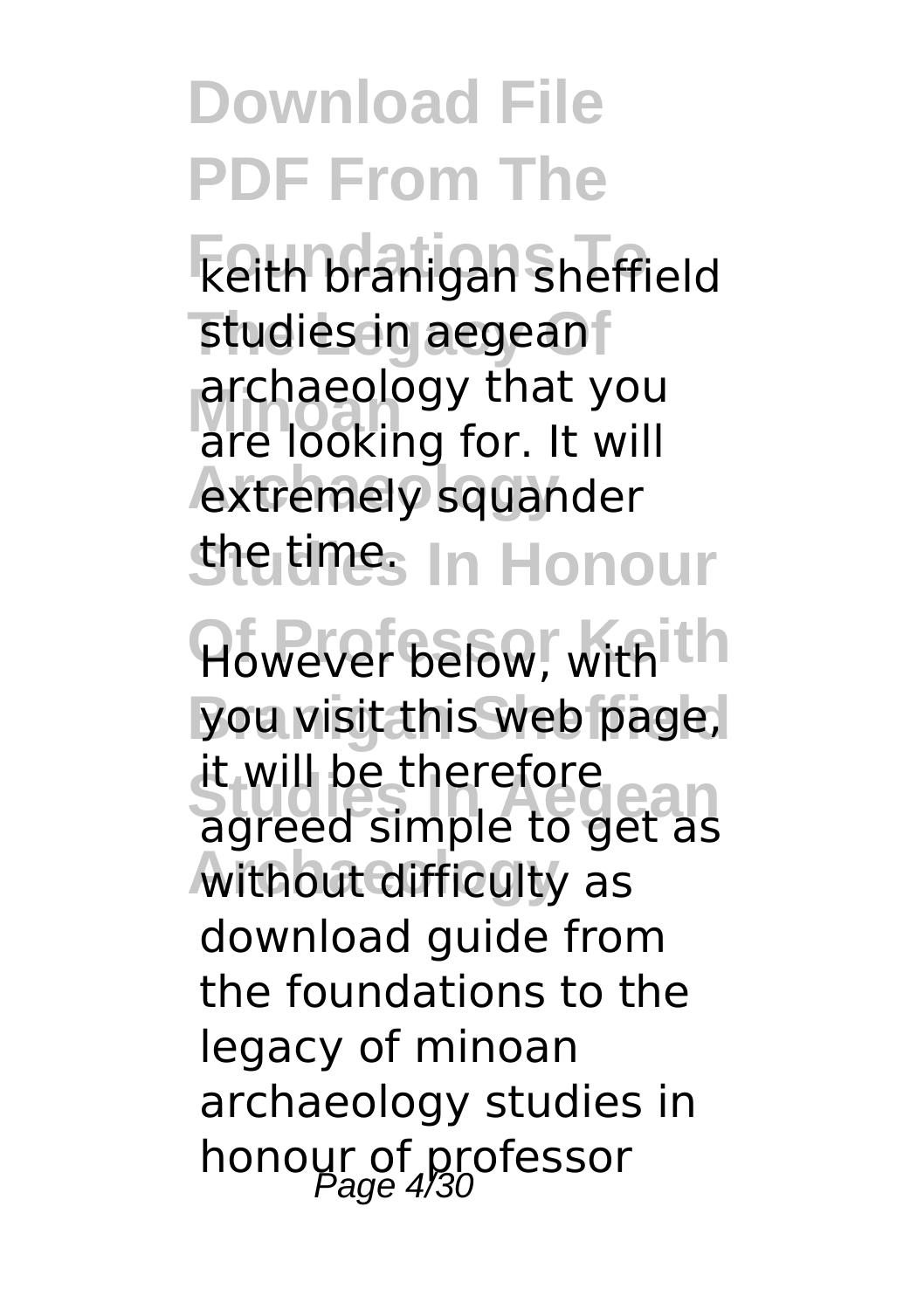**Download File PDF From The Foundations To** keith branigan sheffield studies in aegean **Minoan** are looking for. It will extremely squander *Sheltines* In Honour However below, with th you visit this web page, **Studies In Aegean** agreed simple to get as **Archaeology** without difficulty as archaeology that you it will be therefore download guide from the foundations to the legacy of minoan archaeology studies in honour of professor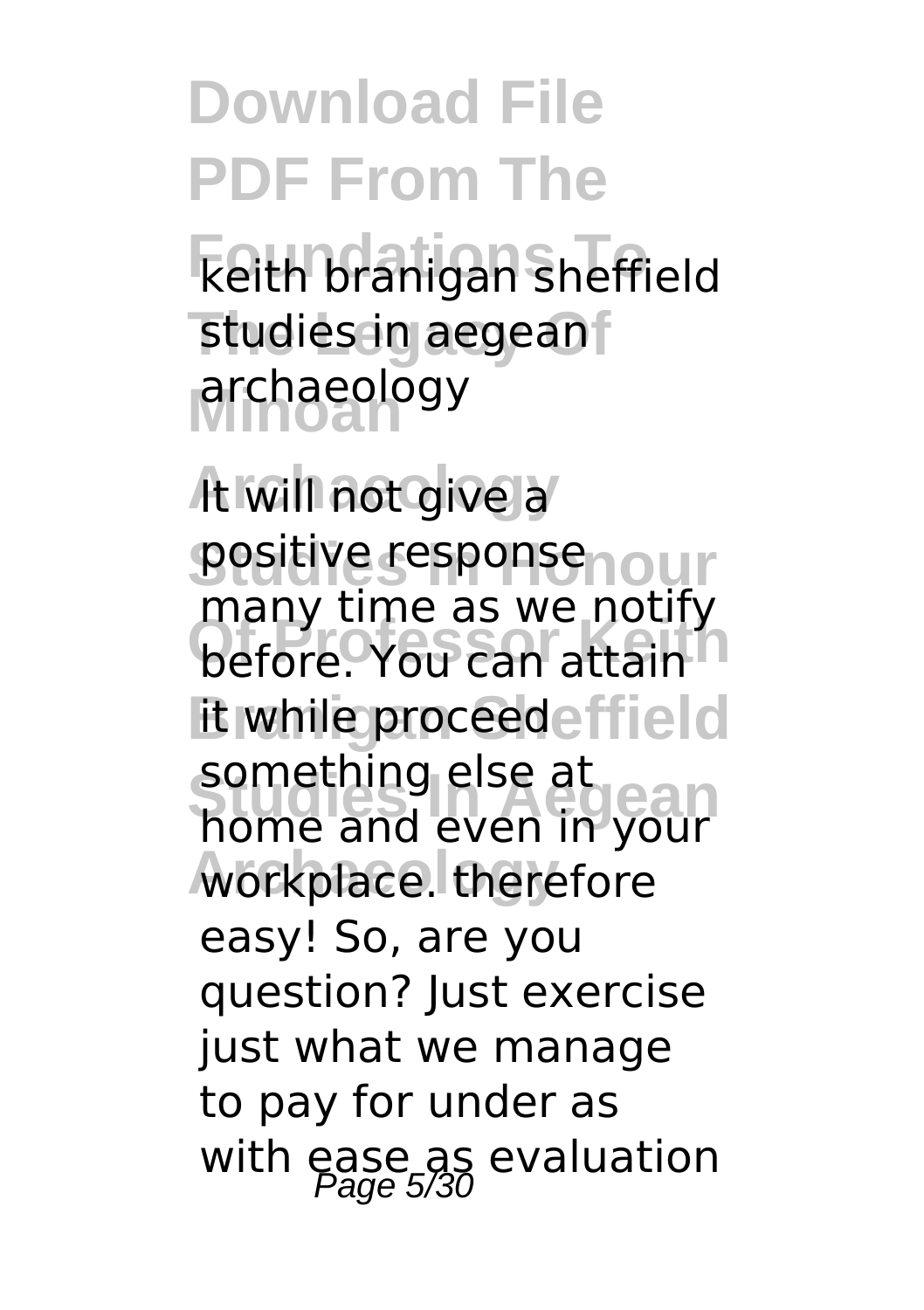**Download File PDF From The Foundations To** keith branigan sheffield studies in aegean **Minoan** archaeology

**Archaeology** It will not give a **Positive responsenour before.** You can attain it while proceedeffield **Studies In Aegean** home and even in your workplace. therefore many time as we notify something else at easy! So, are you question? Just exercise just what we manage to pay for under as with ease as evaluation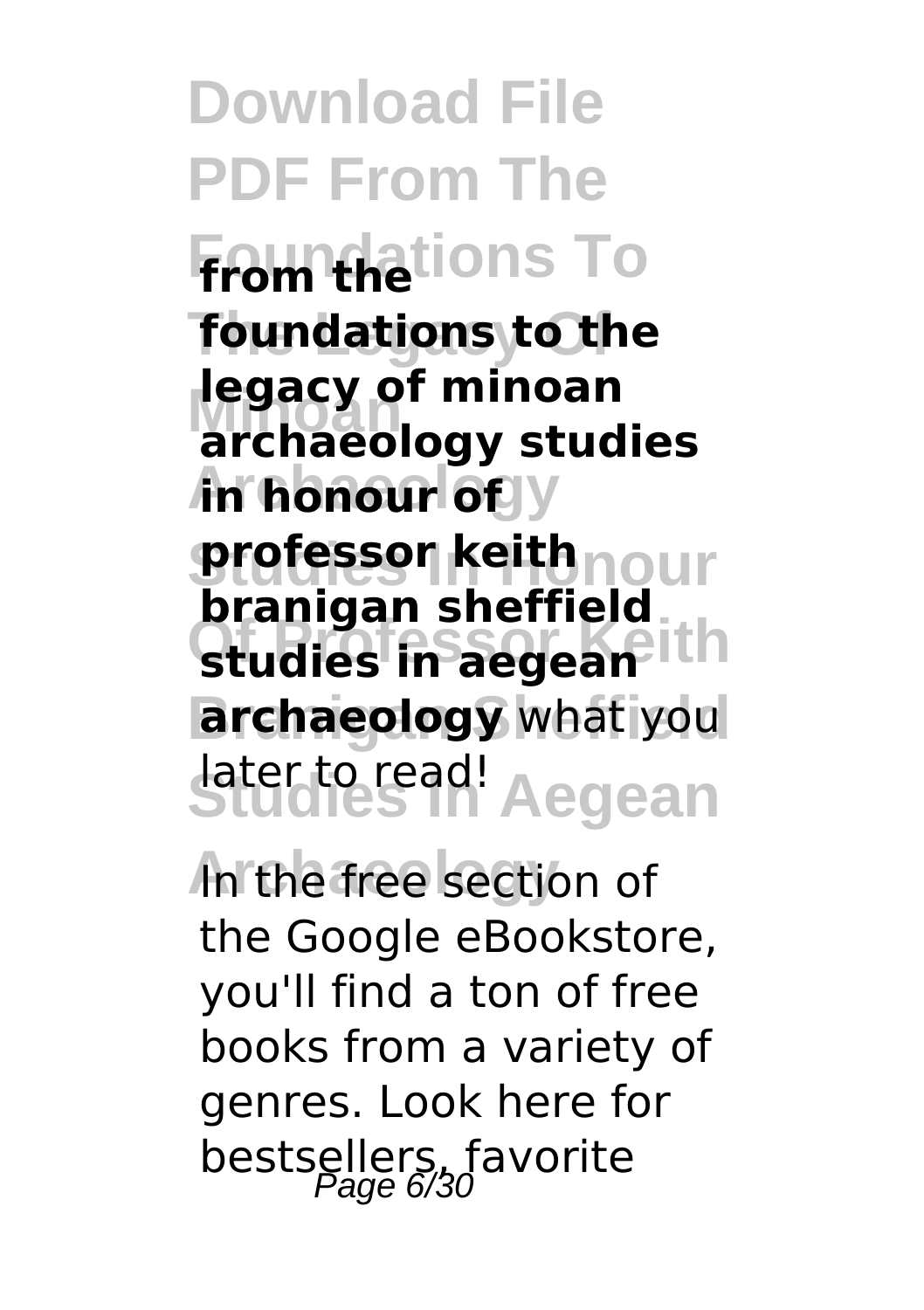**Download File PDF From The Foundations To from the The Legacy Of foundations to the legacy of minoan Archaeour** of y **professor keith**nour **Studies in aegean** ith **archaeology** what you **Studies In Aegean** later to read! **archaeology studies branigan sheffield**

In the free section of the Google eBookstore, you'll find a ton of free books from a variety of genres. Look here for bestsellers, favorite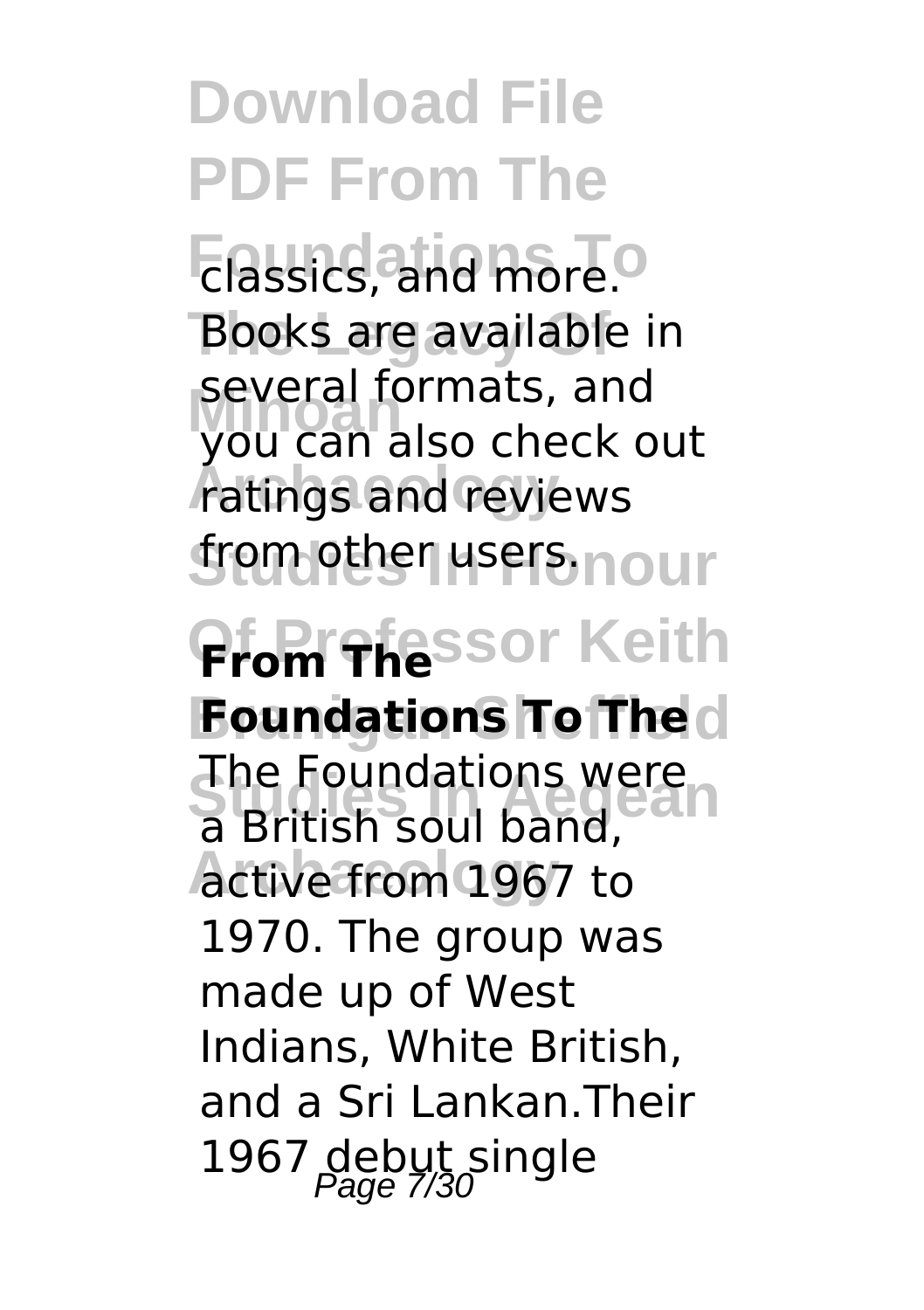**Download File PDF From The Foundations** To Books are available in **several formats, and**<br>VOLLCAD also check o ratings and reviews **from other users.nour Pfom Thessor Keith Foundations To The Studies In Aegean** a British soul band, **Archaeology** active from 1967 to you can also check out The Foundations were 1970. The group was made up of West Indians, White British, and a Sri Lankan.Their 1967 debut single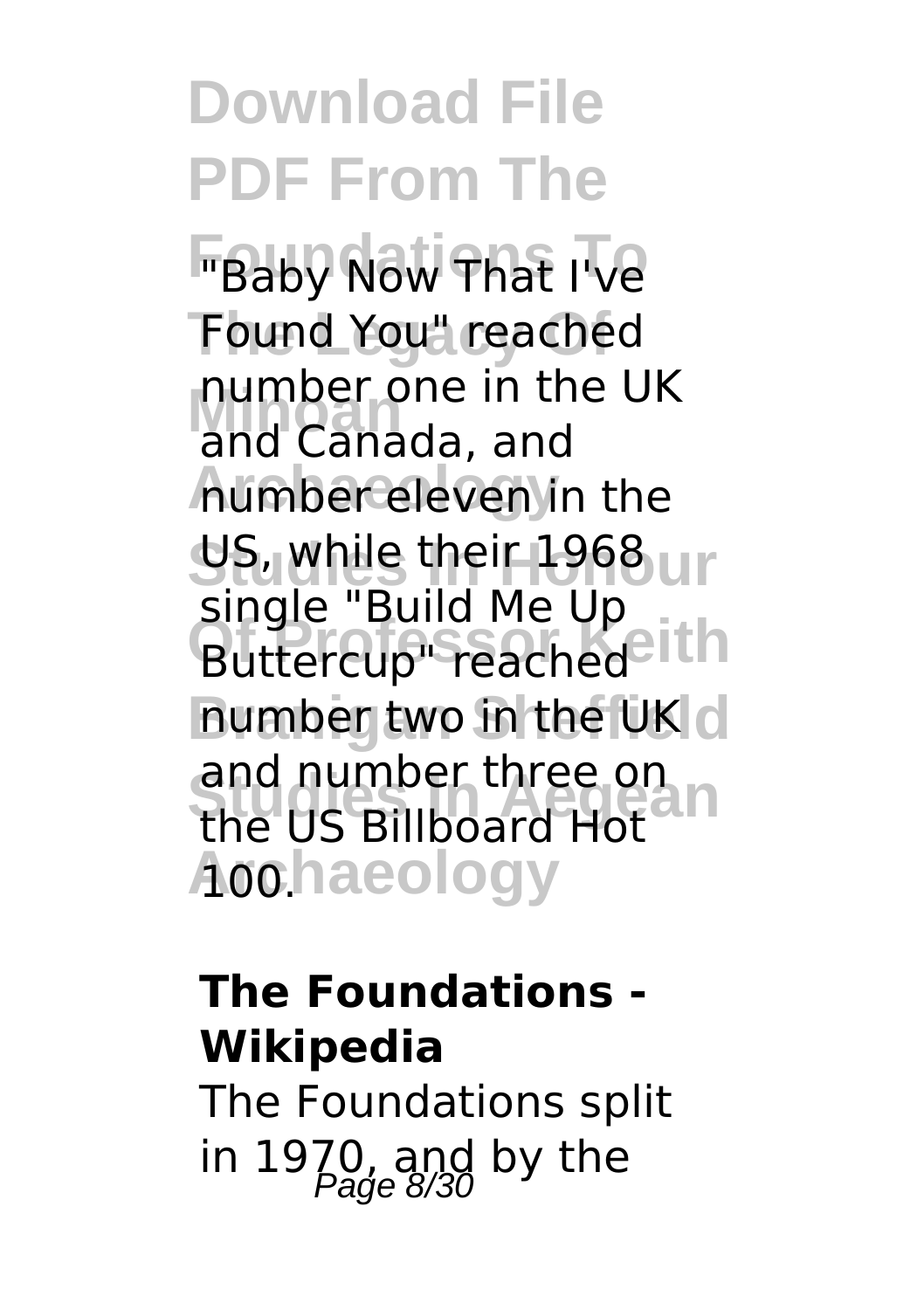**Download File PDF From The FBaby Now That I've The Legacy Of** Found You" reached **Minoan** and Canada, and **Archaeology** number eleven in the **US, while their 1968** ur **Buttercup**" reached<sup>2</sup> ith **number two in the UK** d and number three on<br>the US Billboard Het<sup>2</sup> **Archaeology** 100. number one in the UK single "Build Me Up the US Billboard Hot

### **The Foundations - Wikipedia**

The Foundations split in 1970, and by the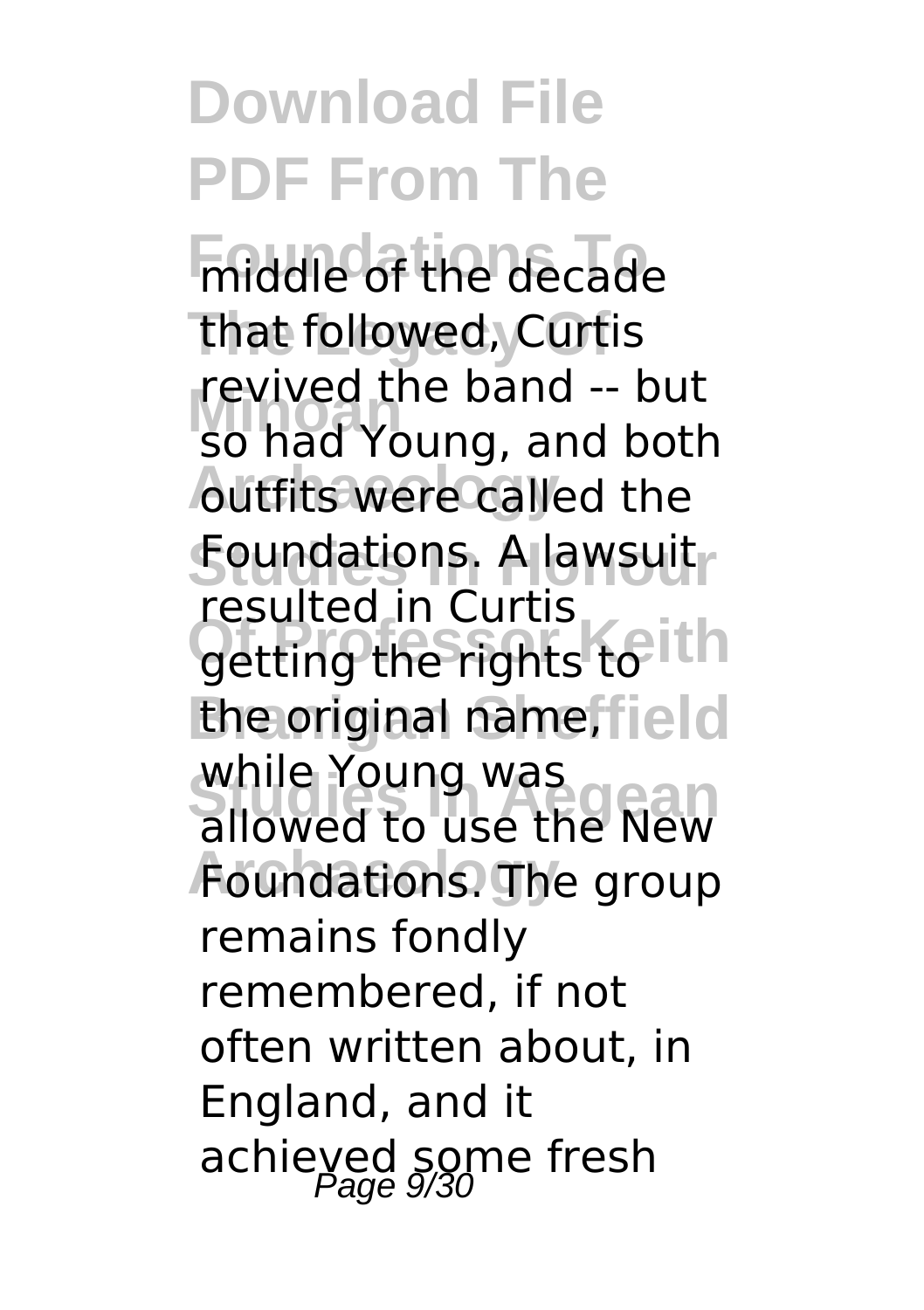**Foundations** The decade that followed, Curtis **Revived the band -- but**<br>So had Young, and both **Autfits were called the Studies In Honour** Foundations. A lawsuit getting the rights to ith the original name, field while Toung was<br>allowed to use the New **Foundations. The group** revived the band -- but resulted in Curtis while Young was remains fondly remembered, if not often written about, in England, and it achieved some fresh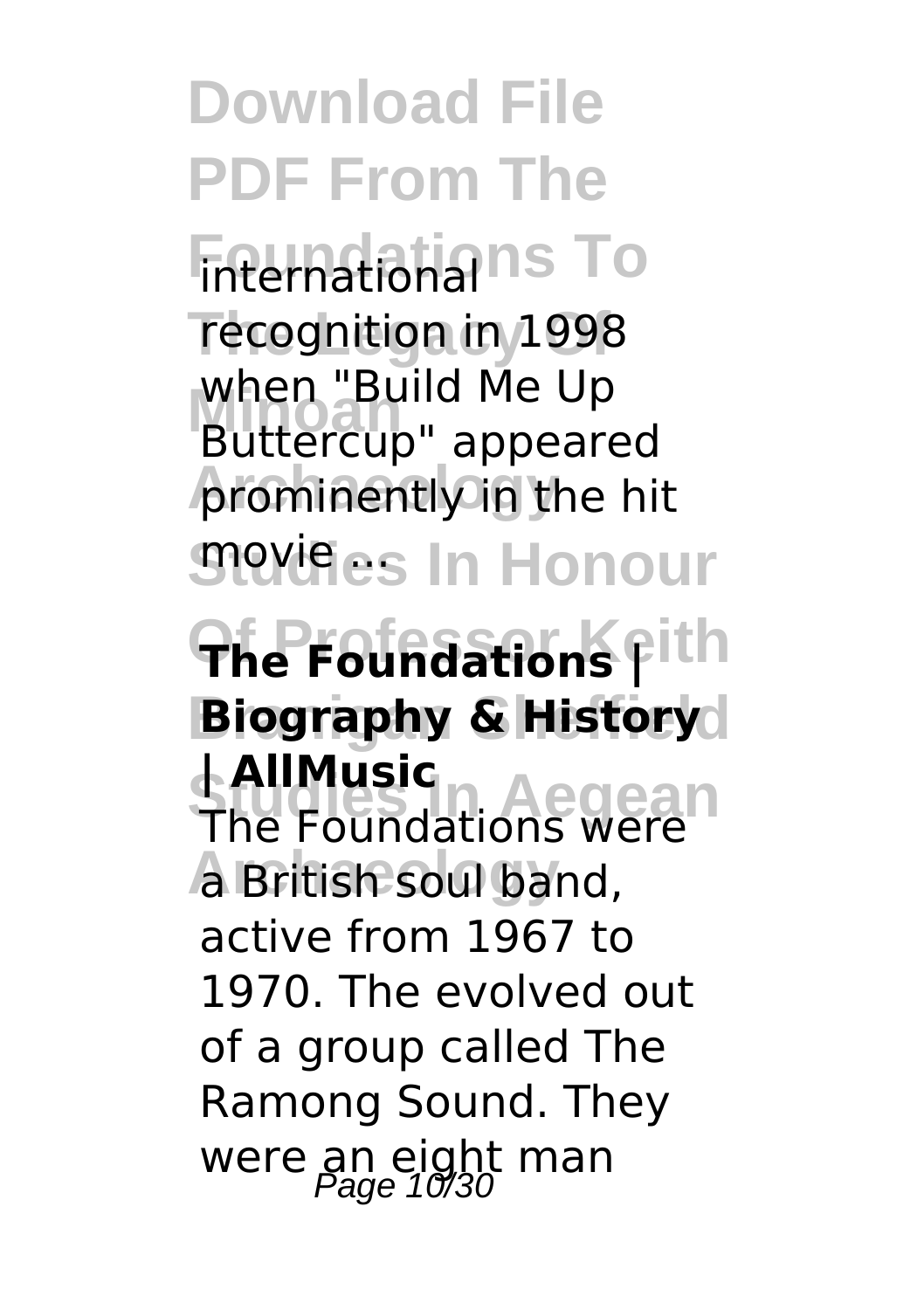**Download File PDF From The Finternational** ns To recognition in 1998 **Minoan** Buttercup" appeared **prominently in the hit** *S***nevifies In Honour**  $The$ **Foundations Fith Biography & History Studies In Aegean** The Foundations were **Archaeology** a British soul band, when "Build Me Up **| AllMusic** active from 1967 to 1970. The evolved out of a group called The Ramong Sound. They were an eight man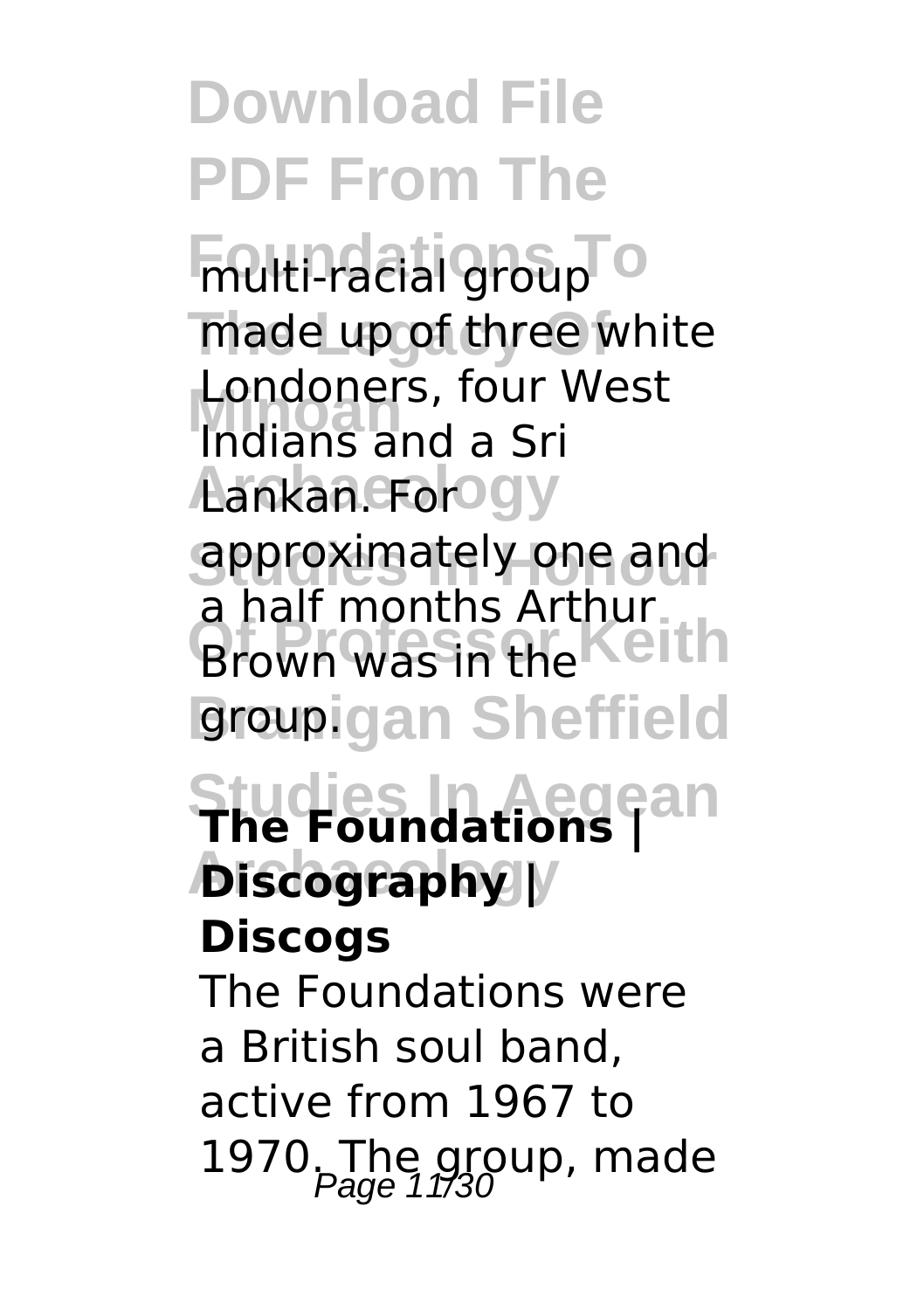**Download File PDF From The Foundations To** multi-racial group made up of three white **Minoan** Indians and a Sri Aankan. For **ogy Studies In Honour** approximately one and a half months Arthur<br>Brown was in the **groupigan Sheffield Studies In Aegean The Foundations | Archaeology Discography |** Londoners, four West Brown was in the **Discogs** The Foundations were a British soul band, active from 1967 to 1970. The group, made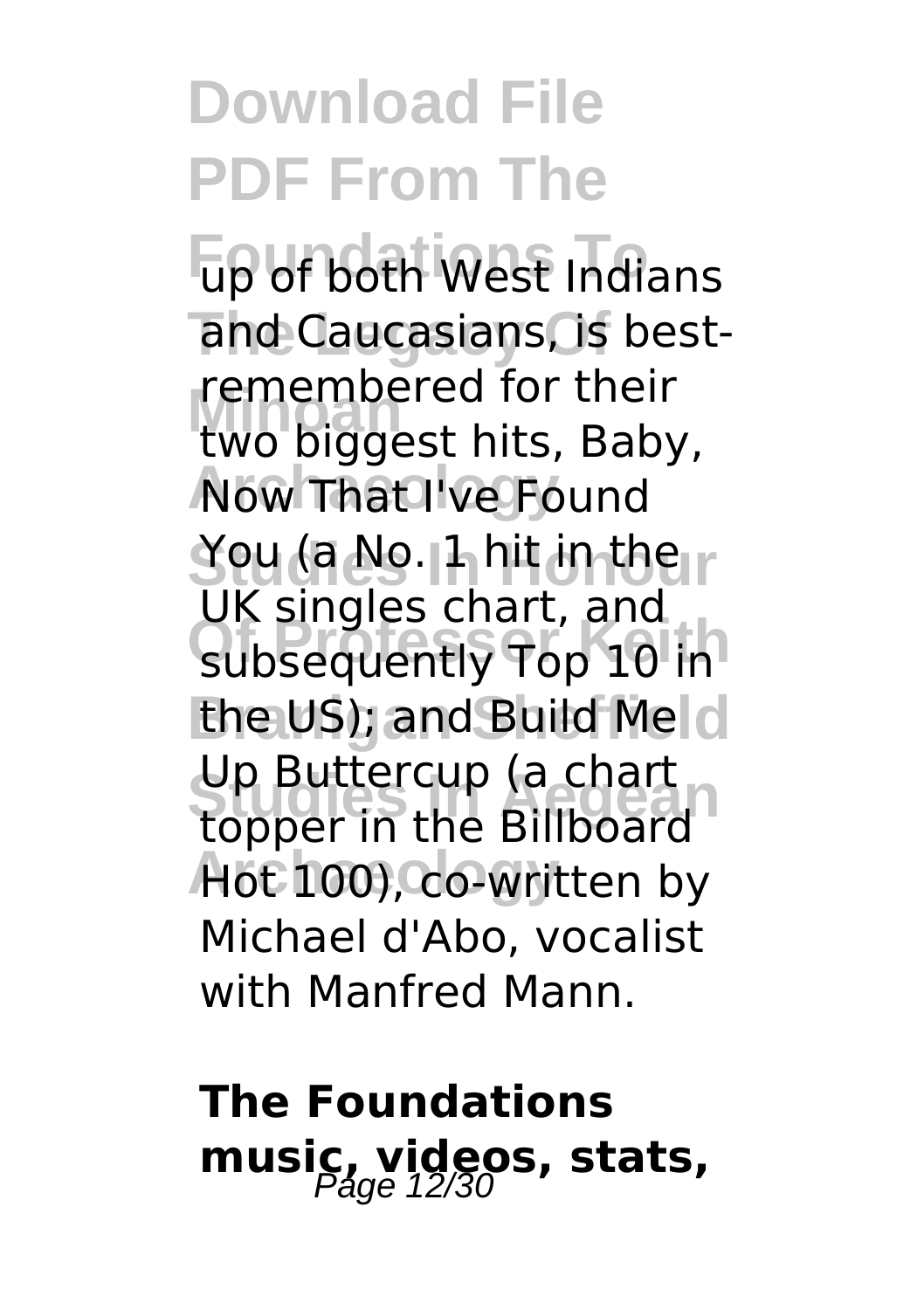**Foundations To** up of both West Indians and Caucasians, is best-**Minoan** two biggest hits, Baby, **Now That I've Found Studies In Honour** You (a No. 1 hit in the subsequently Top 10 in the US); and Build Melcl op Buttercup (a chart<br>topper in the Billboard **Archaeology** Hot 100), co-written by remembered for their UK singles chart, and Up Buttercup (a chart Michael d'Abo, vocalist with Manfred Mann.

### **The Foundations** music, videos, stats,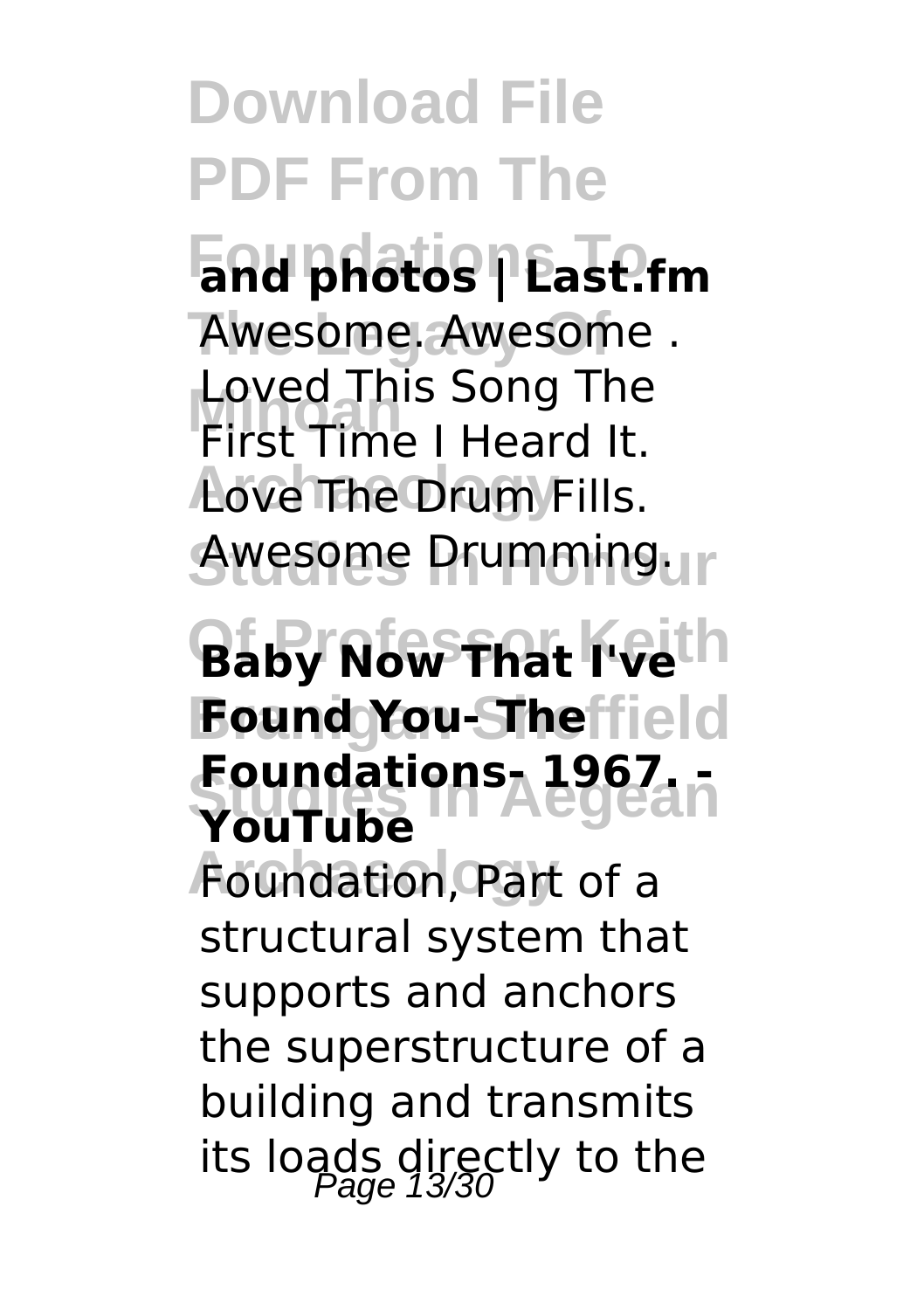**Download File PDF From The Foundations To and photos | Last.fm** Awesome. Awesome . **Minoan** First Time I Heard It. **Archaeology** Love The Drum Fills. Awesome Drumming. **Of Professor Keith Baby Now That I've Branigan Sheffield Found You- The Studies In Aegean Foundations- 1967. - Archaeology** Foundation, Part of a Loved This Song The **YouTube** structural system that supports and anchors the superstructure of a building and transmits its loads directly to the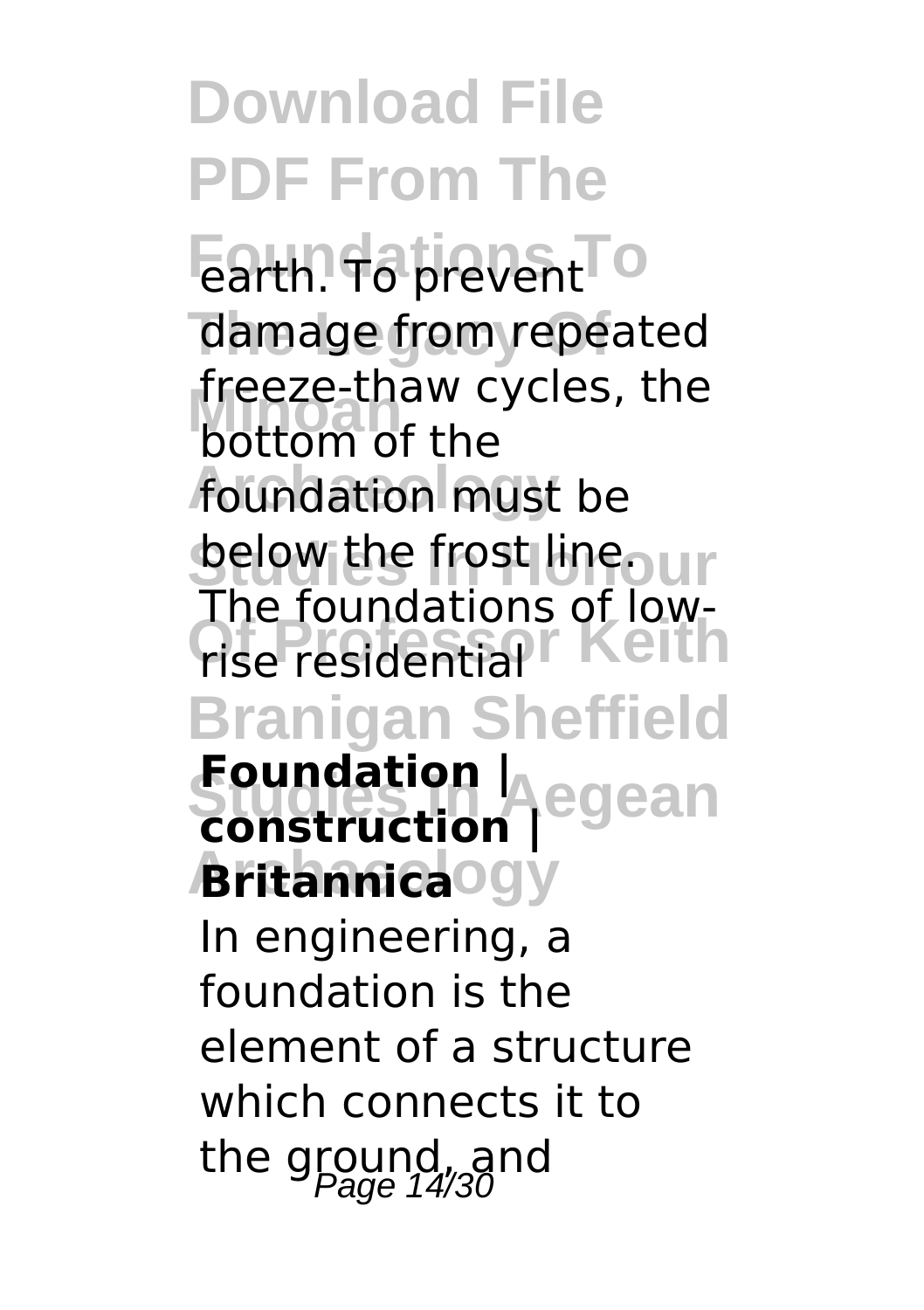**Download File PDF From The** Earth. To prevent<sup>To</sup> damage from repeated **Minoan** bottom of the foundation must be **Selow the frost lineo ur The residential Keith Branigan Sheffield Studies In Aegean Foundation |** *Aritannica*ogy freeze-thaw cycles, the The foundations of low**construction |** In engineering, a foundation is the element of a structure which connects it to the ground, and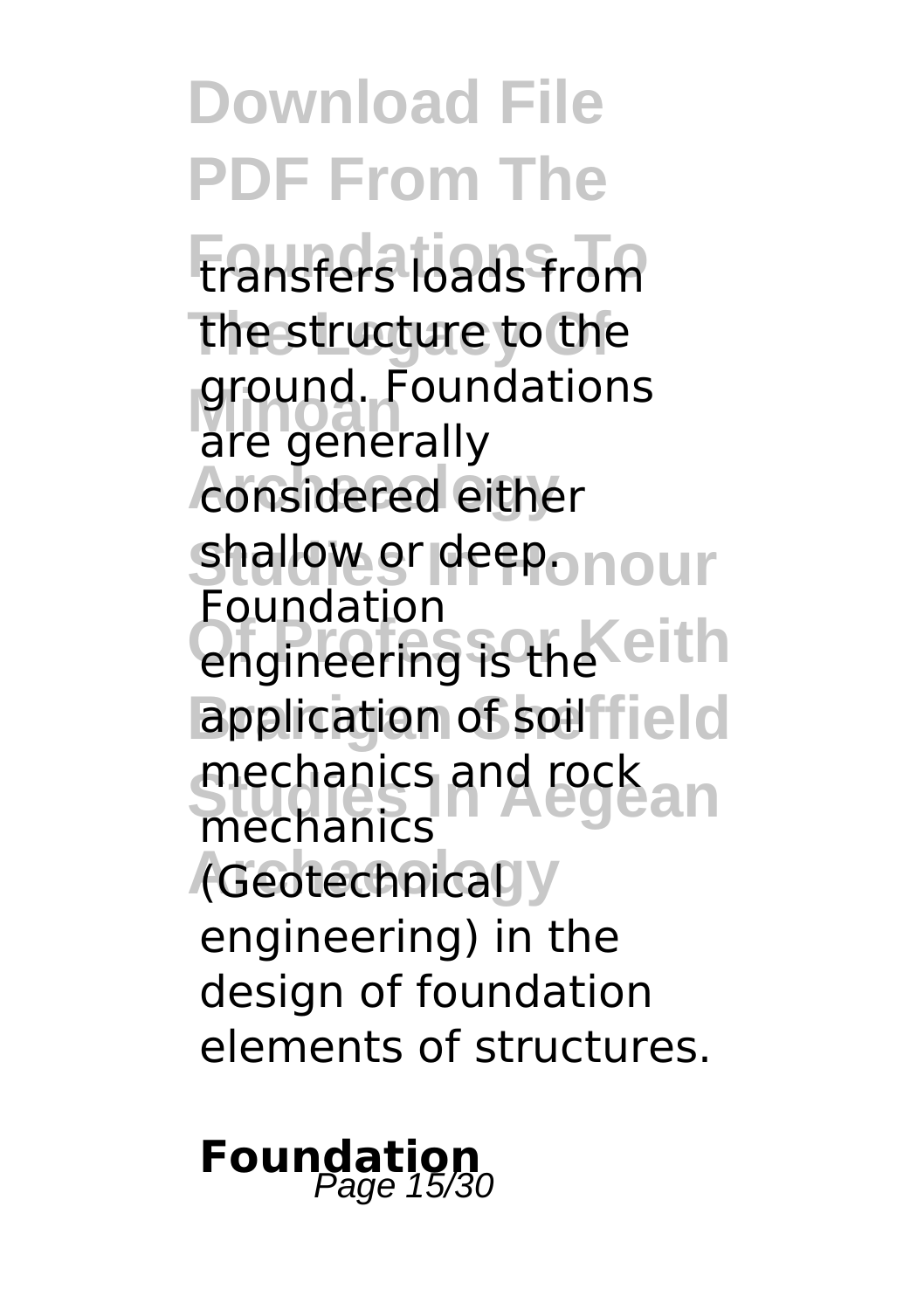**Download File PDF From The** transfers loads from the structure to the ground. Foun<br>are generally **Archaeology** considered either **shallow or deep. nour** engineering is the eith application of soilfield mechanics and rock<br>mechanics and rock an **Archaeology** (Geotechnical ground. Foundations Foundation mechanics engineering) in the design of foundation elements of structures.

**Foundation**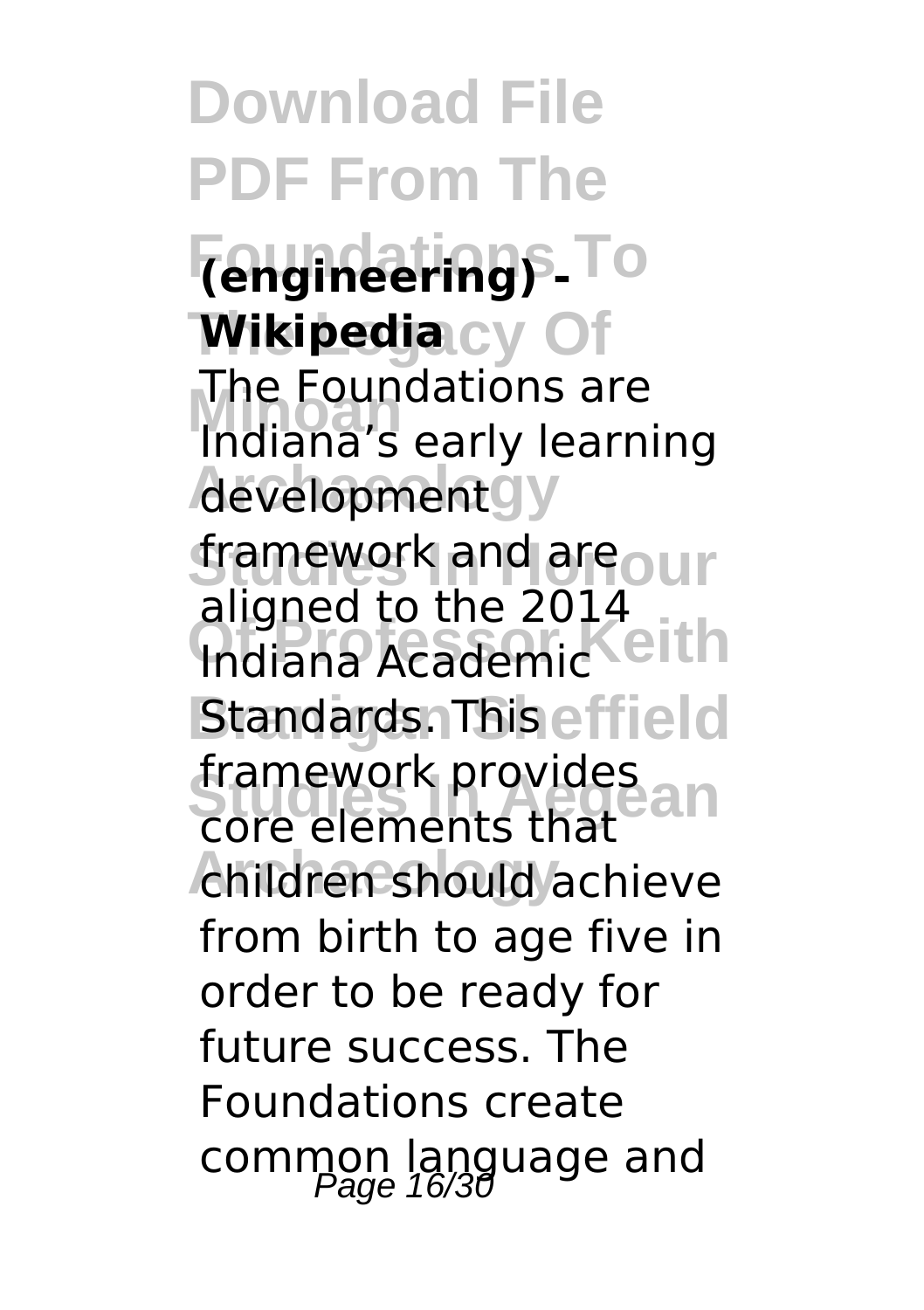**Download File PDF From The Foundations To (engineering) -**  $\blacksquare$ **Wikipedia**<br>Cy **Ine Foundations are**<br>Indiana's early learning **developmentgy** *Stamework and areo ur* **Indiana Academic Standards. This effield Studies In Aegean** core elements that children should achieve The Foundations are aligned to the 2014 framework provides from birth to age five in order to be ready for future success. The Foundations create common language and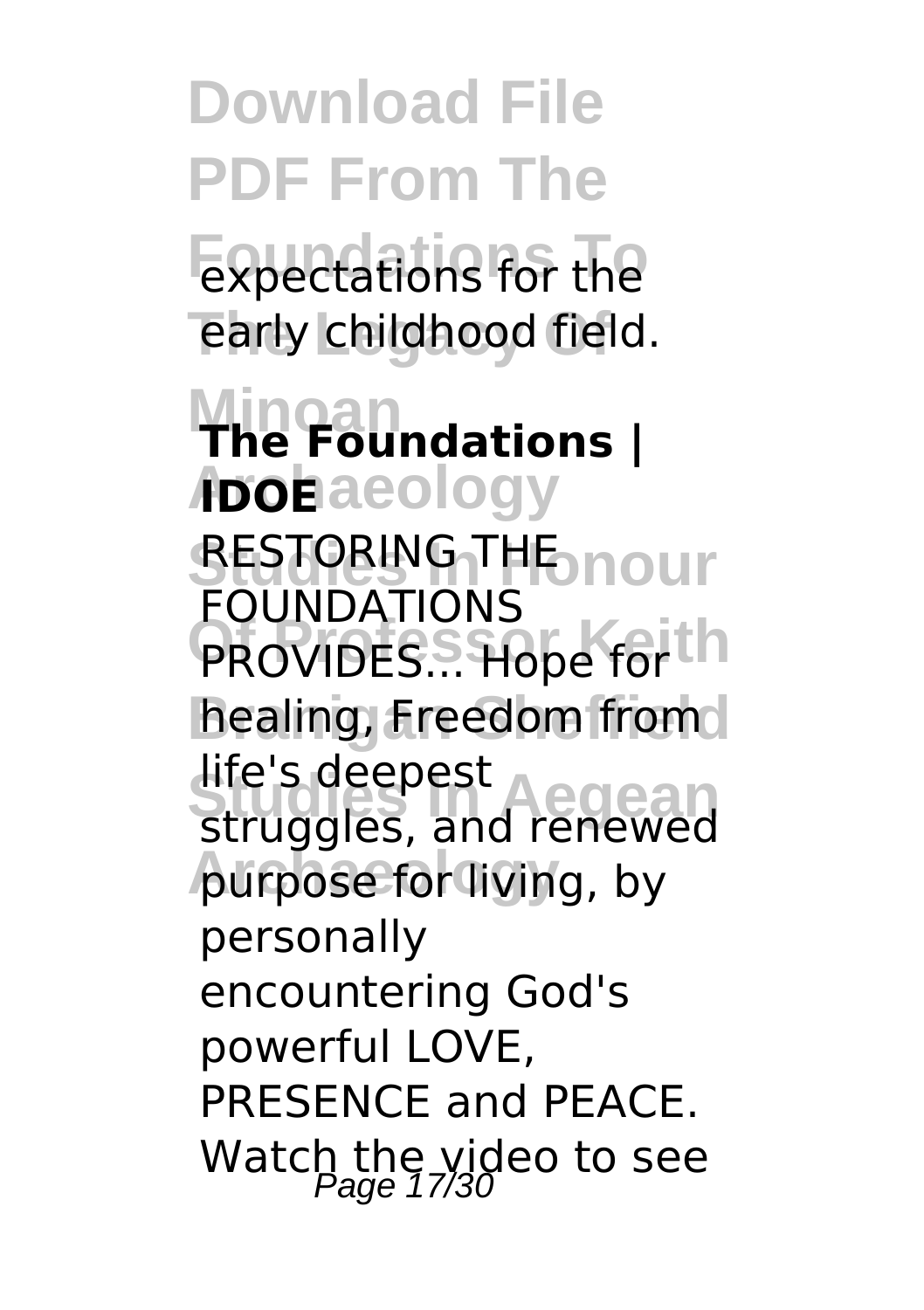**Download File PDF From The** expectations for the early childhood field. **Minoan The Foundations |** A**bohaeology RESTORING THE nour PROVIDES... Hope for h** healing, Freedom from **Studies In Aegean** struggles, and renewed purpose for living, by FOUNDATIONS life's deepest personally encountering God's powerful LOVE, PRESENCE and PEACE. Watch the video to see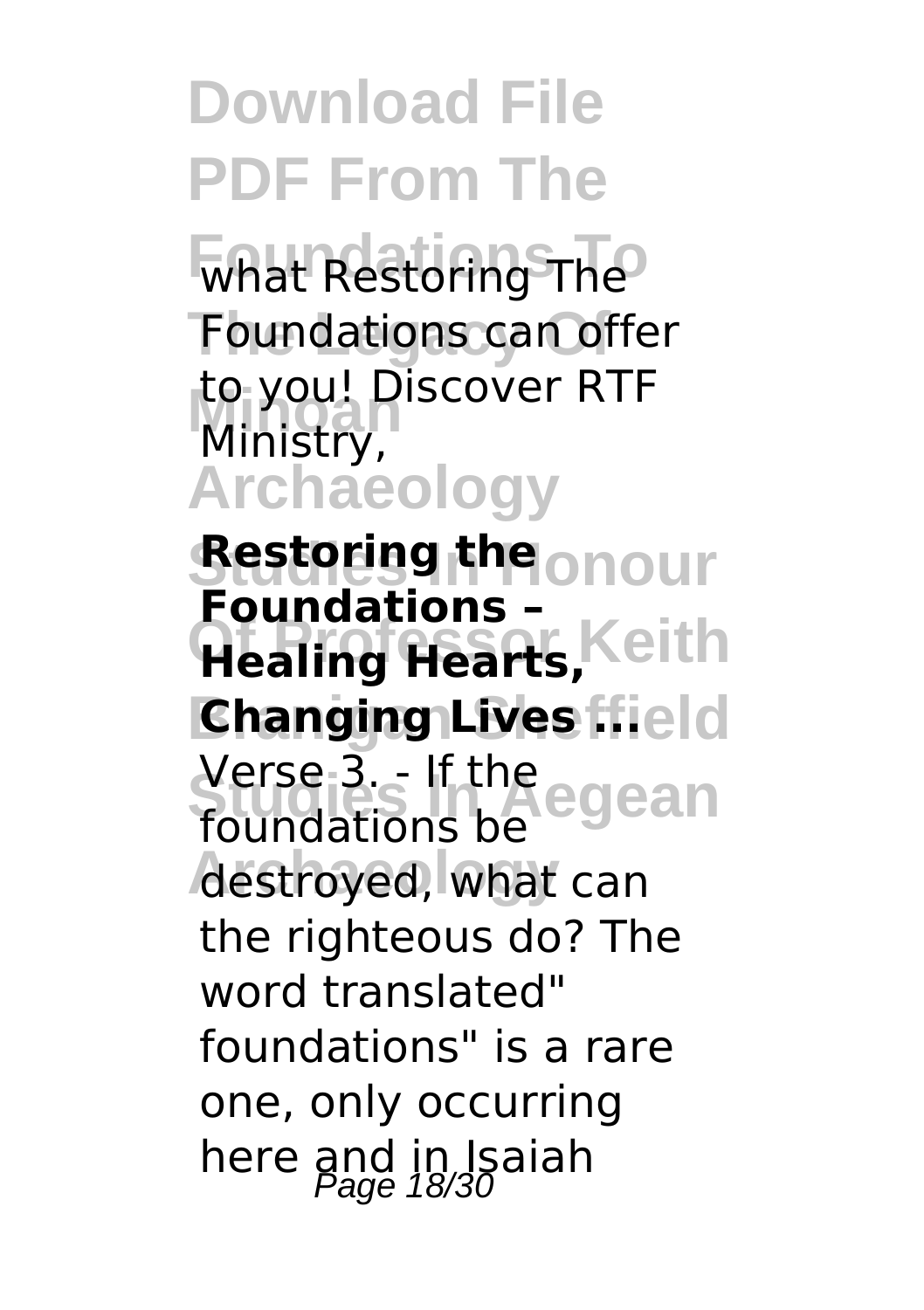what Restoring The Foundations can offer to you! Discover RTF<br>Ministry **Archaeology** Ministry,

*<u>Sestoring the onour</u>* **Healing Hearts, Keith Changing Lives field Studies In Aegean** Verse 3. - If the destroyed, what can **Foundations –** foundations be the righteous do? The word translated" foundations" is a rare one, only occurring here and in Isaiah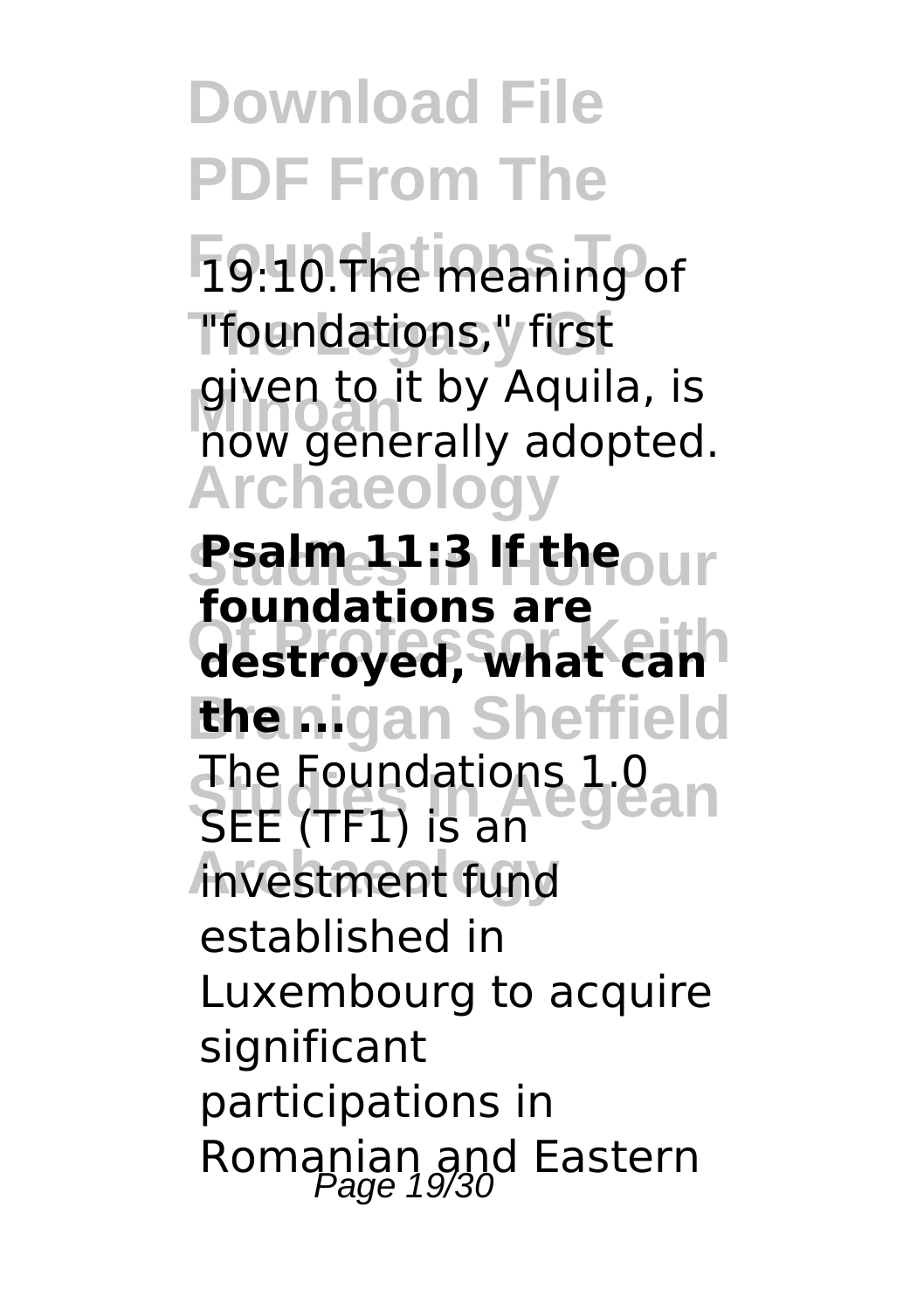**Foundations To** 19:10.The meaning of **The Legacy Of** "foundations," first given to it by Aquila, is<br>now generally adopted. **Archaeology** given to it by Aquila, is

**Ssalmes Ia If the**our **Of Professor Keith destroyed, what can** *<u>thenigan</u>* Sheffield The Foundations 1.0<br>SEE *T*ETUE 20.000 **A Archaeology** investment fund **foundations are** SEE (TF1) is an established in Luxembourg to acquire significant participations in Romanian and Eastern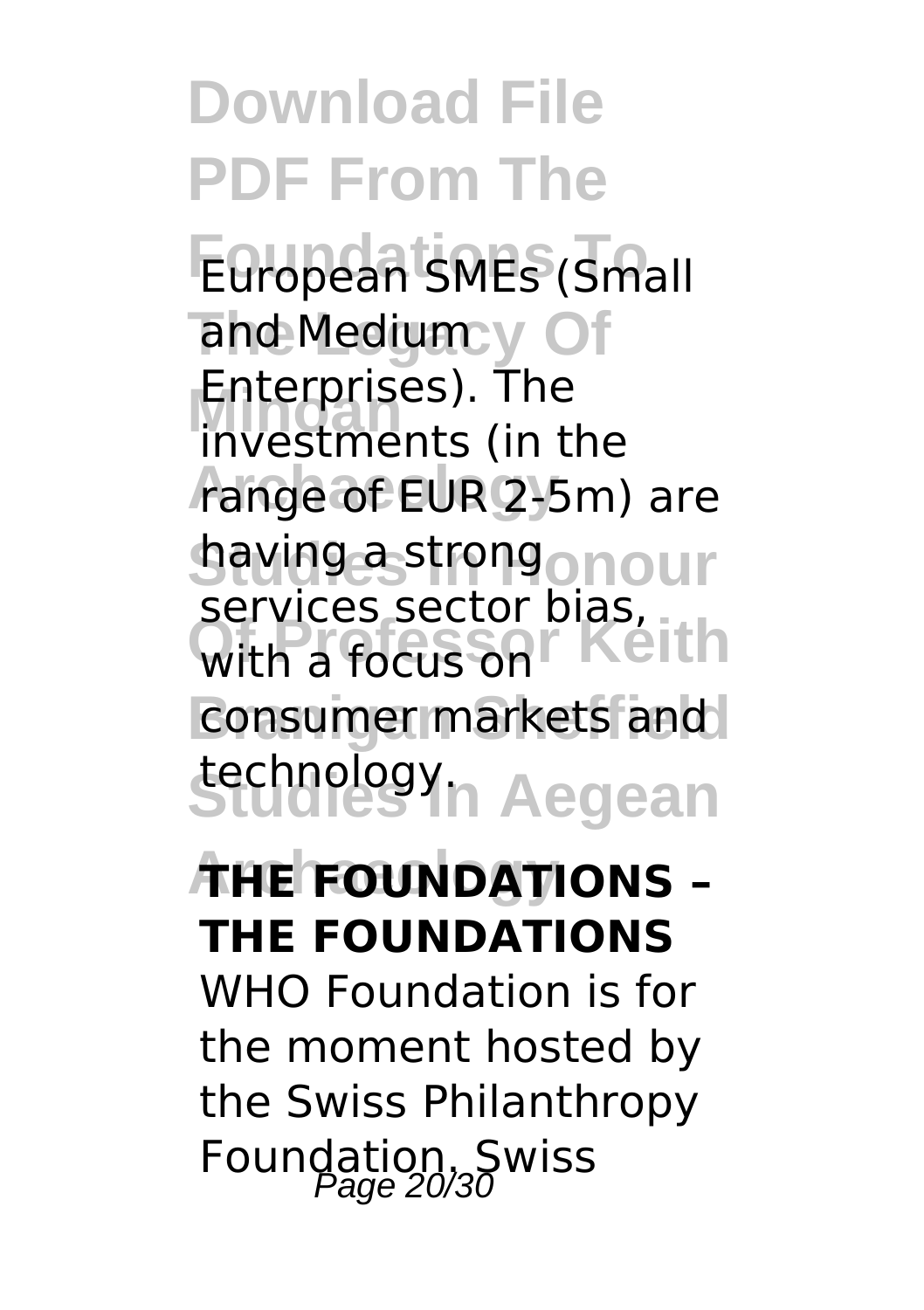**Download File PDF From The European SMEs (Small** and Medium y Of **Minoan** investments (in the range of EUR 2-5m) are **having a strongo nour** with a focus on **Keith** consumer markets and **Studies In Aegean** technology. Enterprises). The services sector bias,

### **Archaeology THE FOUNDATIONS – THE FOUNDATIONS**

WHO Foundation is for the moment hosted by the Swiss Philanthropy Foundation. Swiss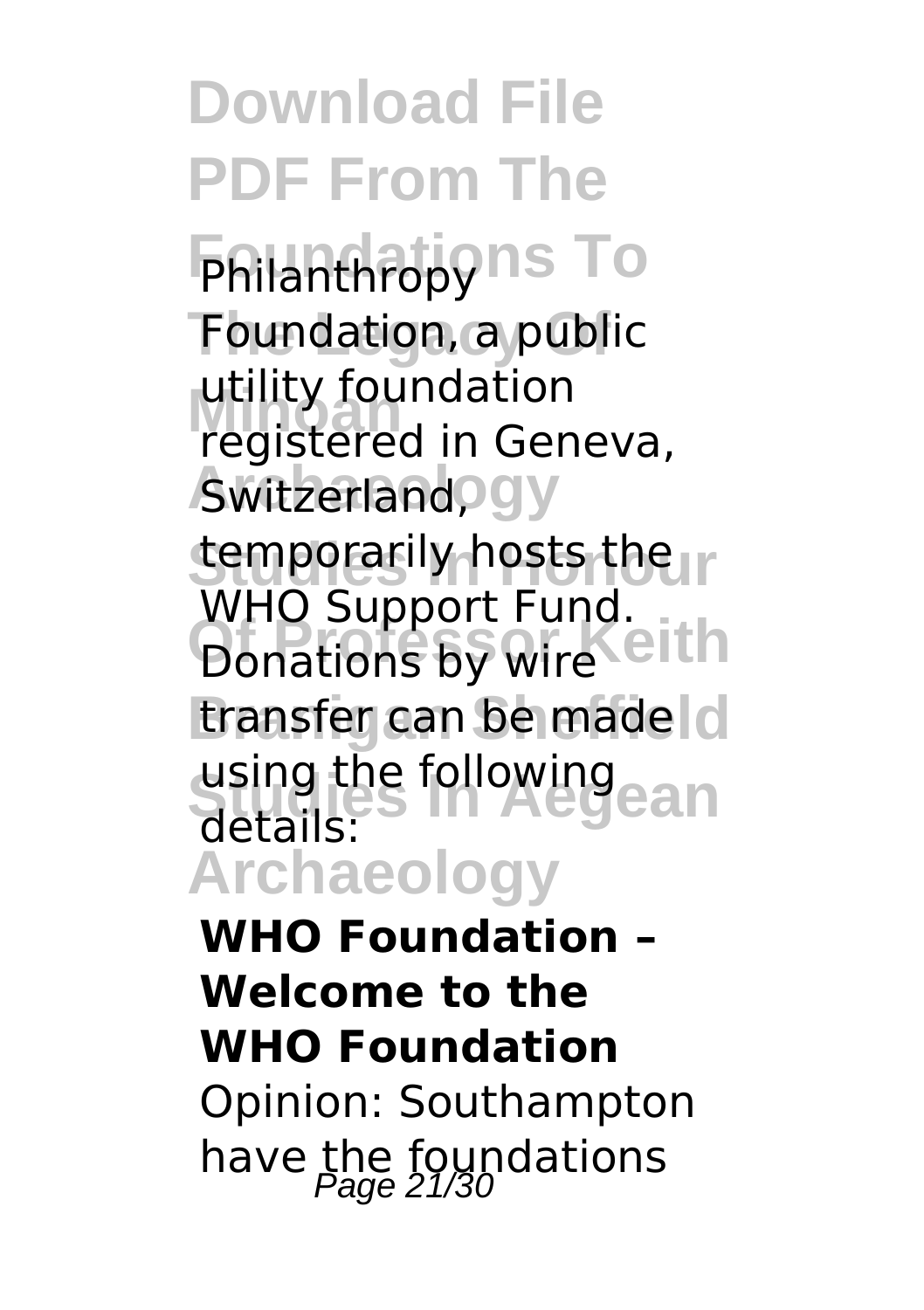**Download File PDF From The Fhilanthropyns To Foundation, a public** utility foundation<br>registered in Gen **Awitzerland, gy** temporarily hosts the **Donations by wire** transfer can be made c using the following<br>details: **Archaeology** registered in Geneva, WHO Support Fund. details: **WHO Foundation –**

**Welcome to the WHO Foundation** Opinion: Southampton have the foundations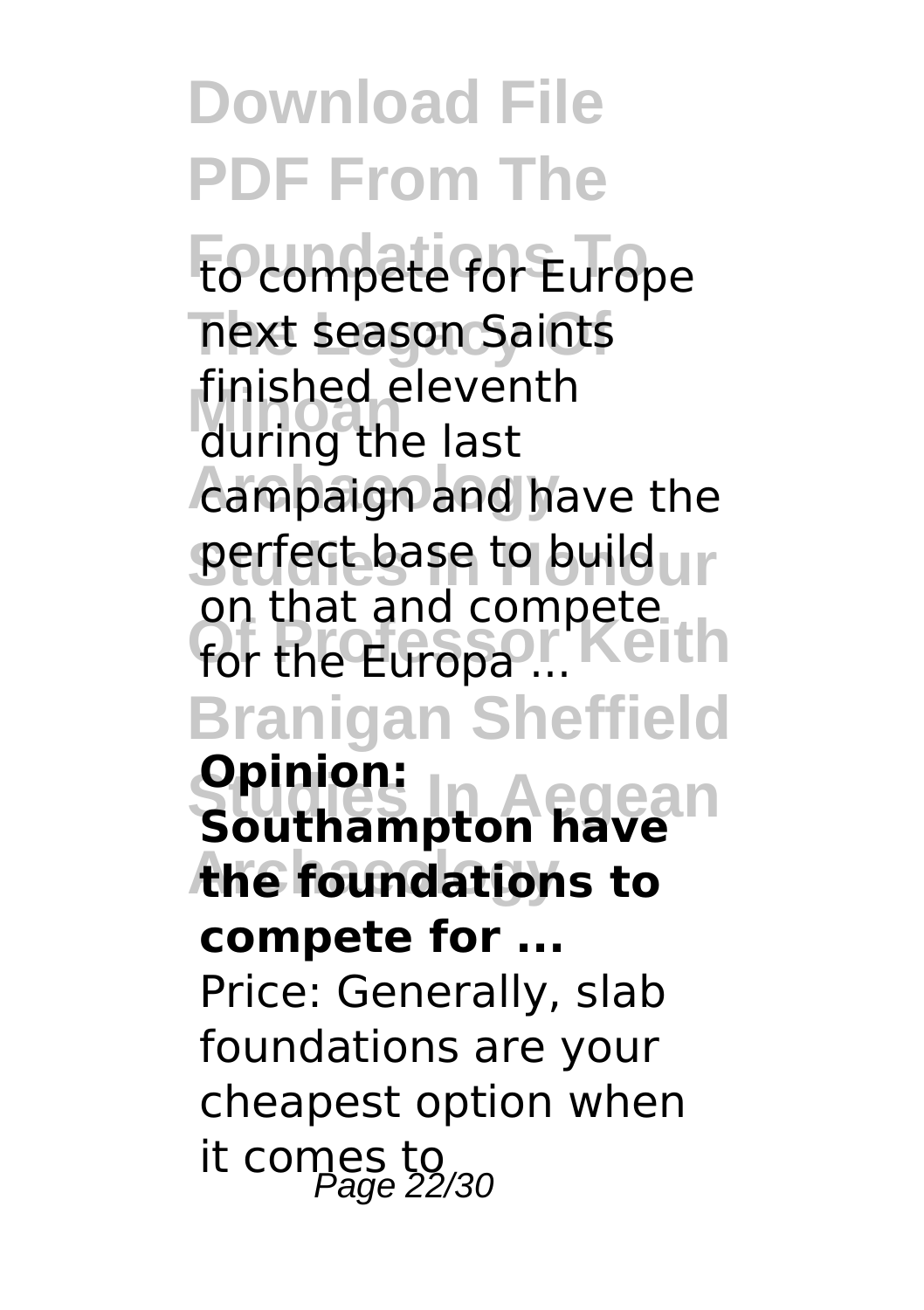**Download File PDF From The** to compete for Europe **The Legacy Of** next season Saints **Minoan** during the last campaign and have the **perfect base to build un** for the Europa<sup>...</sup> Keith **Branigan Sheffield Studies In Aegean Southampton have Archaeology the foundations to** finished eleventh on that and compete **Opinion: compete for ...** Price: Generally, slab foundations are your cheapest option when it comes to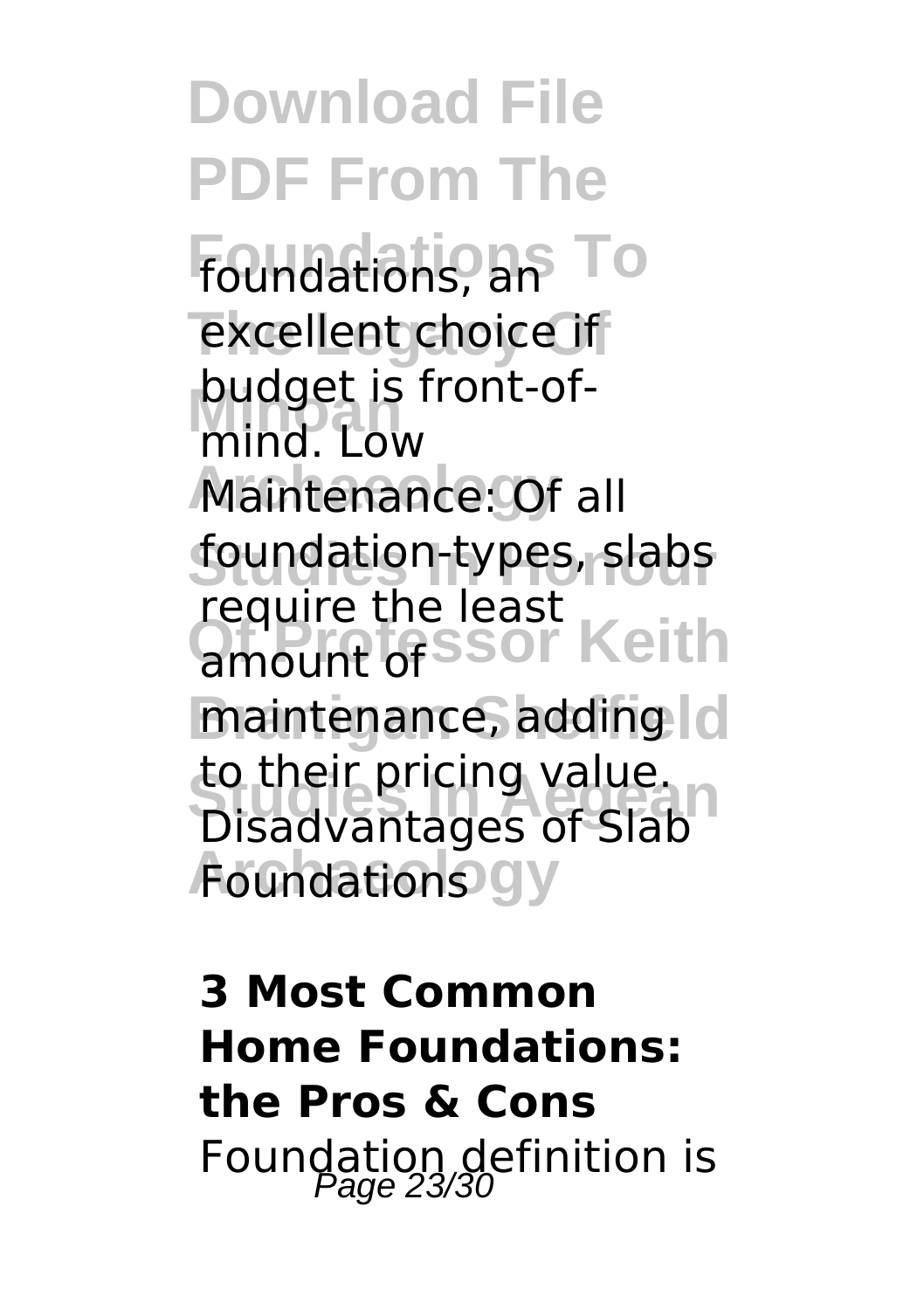**Download File PDF From The Foundations To** foundations, an excellent choice if **Mind.** Low Maintenance: Of all **Studies In Honour** foundation-types, slabs require the least<br>amount of SSOL Keith maintenance, adding | c to their pricing value.<br>Disadvantages of Slab **Foundations** gy budget is front-ofamount of to their pricing value.

**3 Most Common Home Foundations: the Pros & Cons** Foundation definition is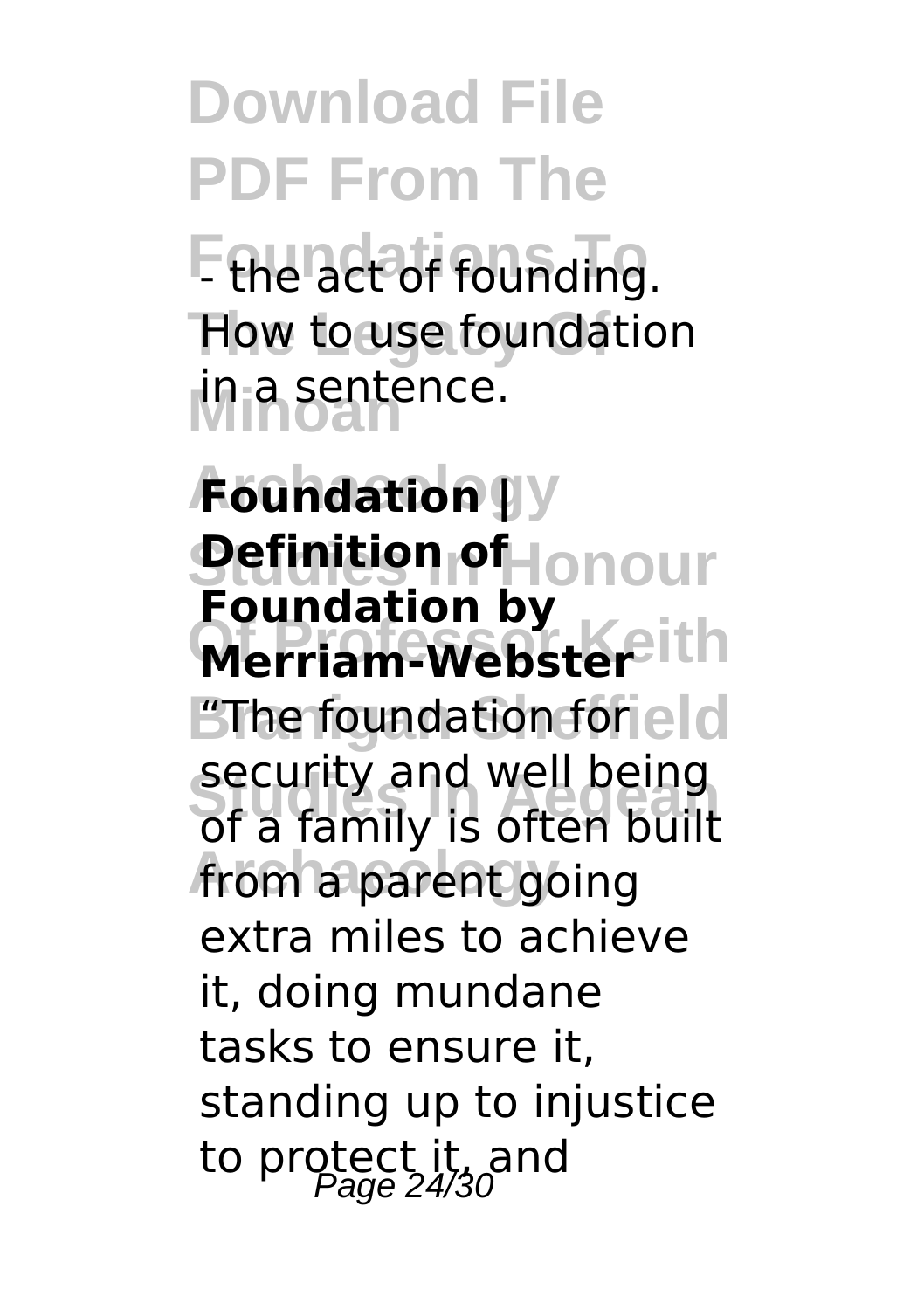**Download File PDF From The F** the act of founding. How to use foundation **Minoan** in a sentence.

**Archaeology Foundation |** *<u>Pefinition of Honour</u>* **Merriam-Webster Branigan Sheffield** "The foundation for **Studies In Aegean** of a family is often built from a parent going **Foundation by** security and well being extra miles to achieve it, doing mundane tasks to ensure it, standing up to injustice to protect it, and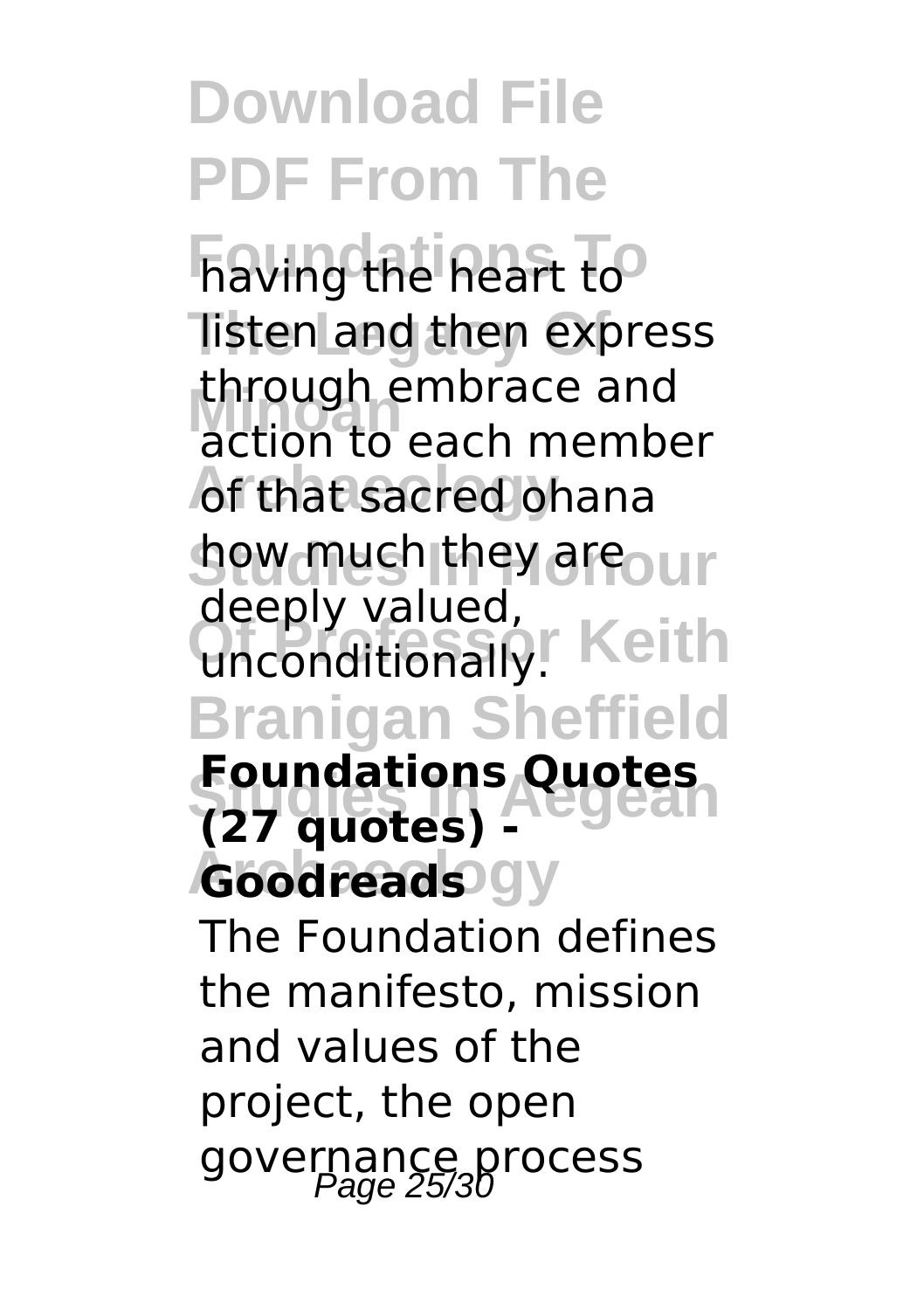**Foundations To** having the heart to **Tisten and then express Minoan** action to each member **of that sacred ohana how much they are our** unconditionally. Keith **Branigan Sheffield Foundations Quotes** *Goodreads* gy through embrace and deeply valued, **(27 quotes) -**

The Foundation defines the manifesto, mission and values of the project, the open governance process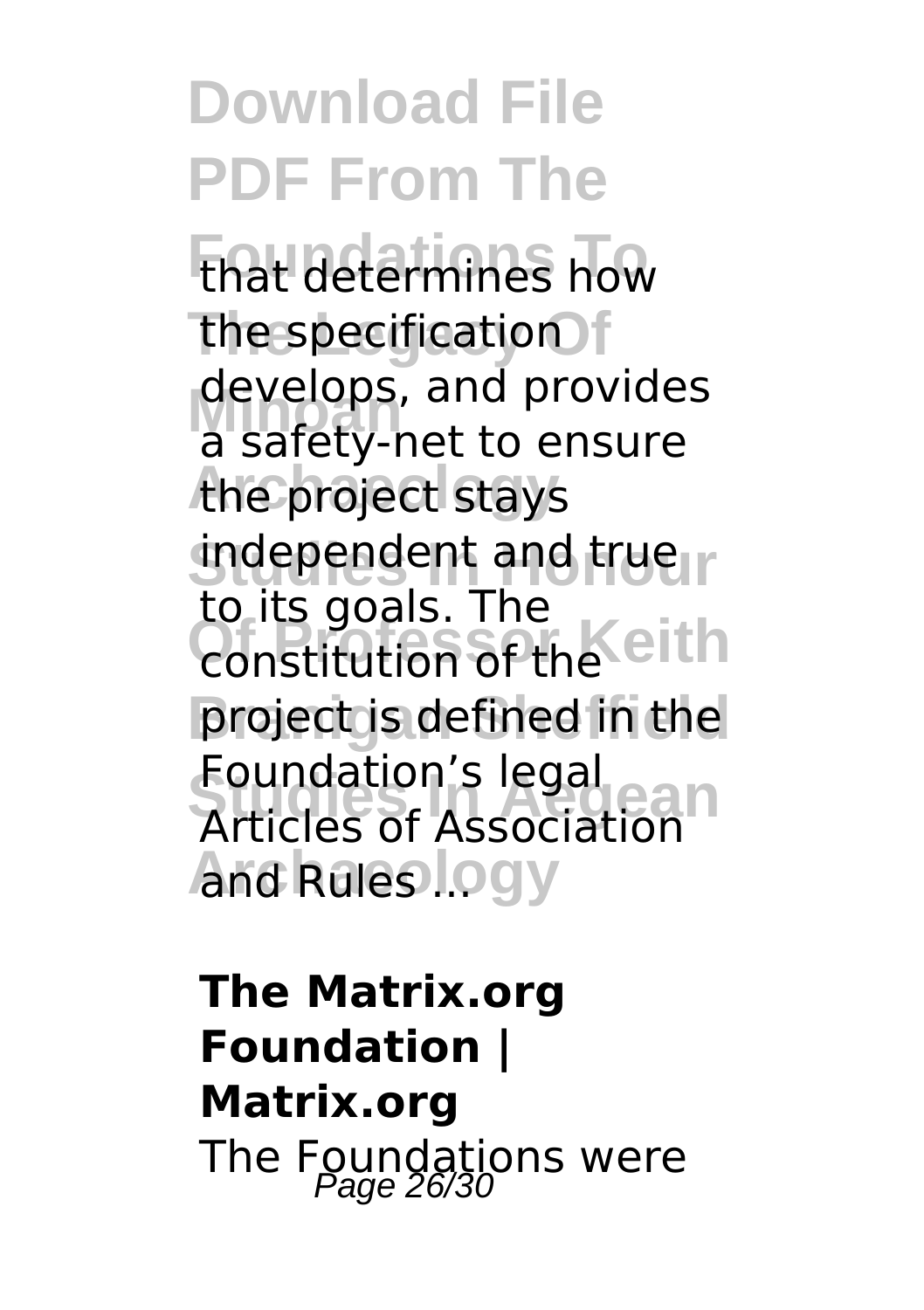**Download File PDF From The Foundations To** that determines how **the specification** develops, and provides<br>a safety-pet to ensure the project stays **independent and trueir** constitution of the eith **Branigan Sheffield** project is defined in the **Studies In Aegean** Articles of Association **And Rules logy** a safety-net to ensure to its goals. The Foundation's legal

**The Matrix.org Foundation | Matrix.org** The Foundations were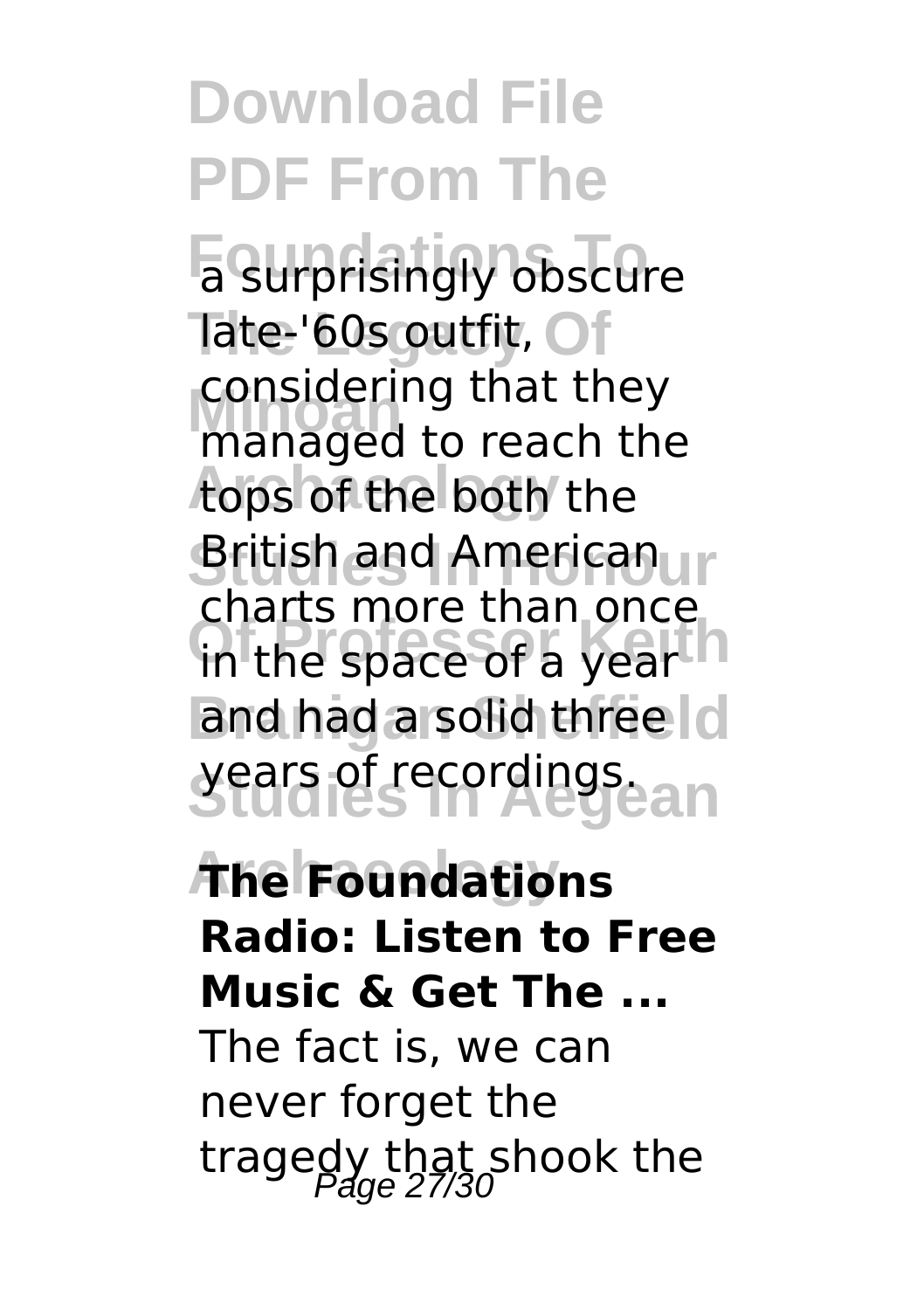**Download File PDF From The Foundations To** a surprisingly obscure Tate-'60s outfit, Of considering that they<br>managed to reach the **Archaeology** tops of the both the **British and Americanur** in the space of a year h and had a solid three c **Studies In Aegean** years of recordings. considering that they charts more than once

#### **Archaeology The Foundations Radio: Listen to Free Music & Get The ...**

The fact is, we can never forget the tragedy that shook the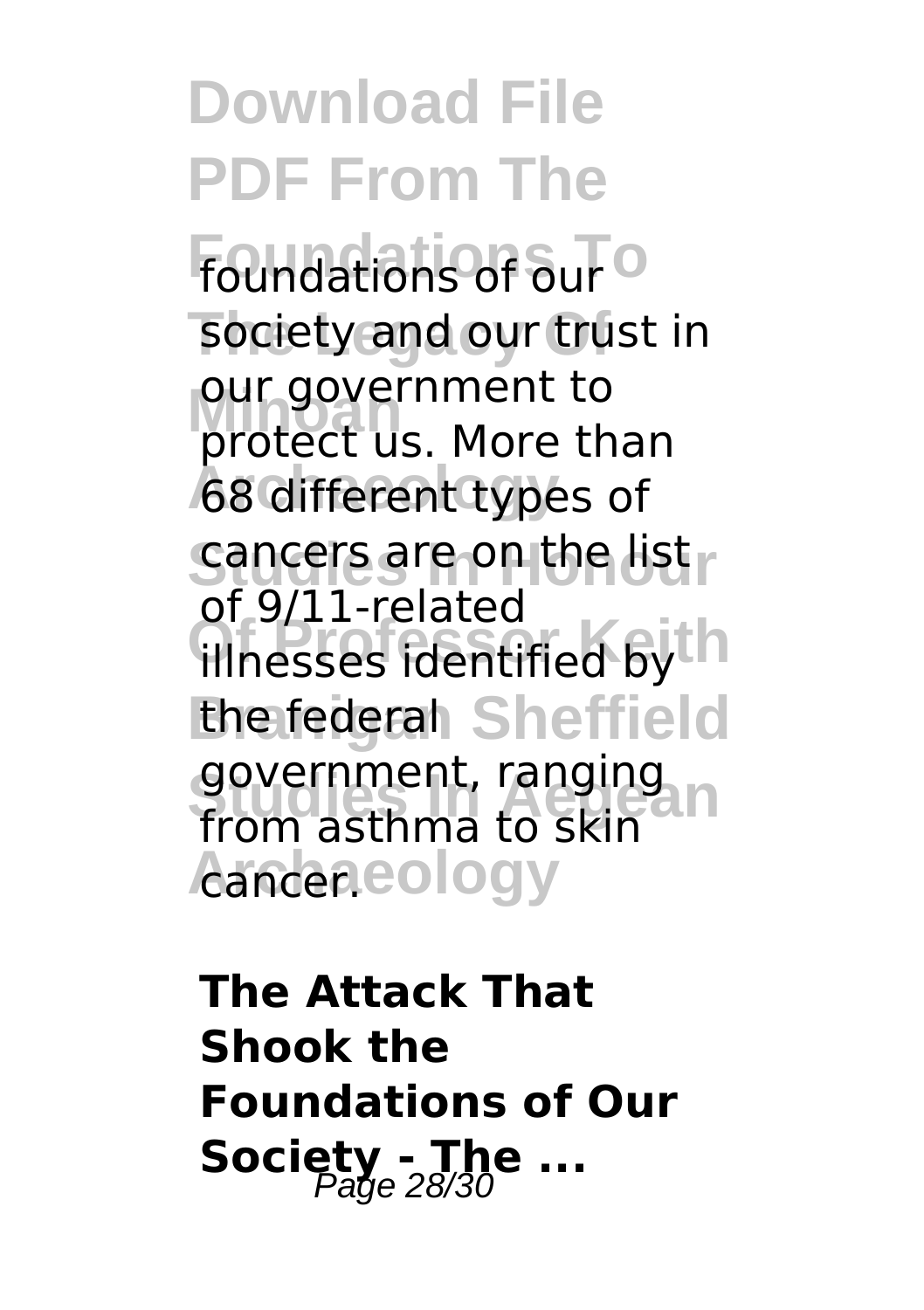**Download File PDF From The Foundations of our** society and our trust in our government to<br>protect us. More than **68 different types of Sancers are on the list Of Professor Keith** illnesses identified by the federal Sheffield government, ranging<br>from acthma to skip Aander.cology our government to of 9/11-related from asthma to skin

**The Attack That Shook the Foundations of Our Society - The ...**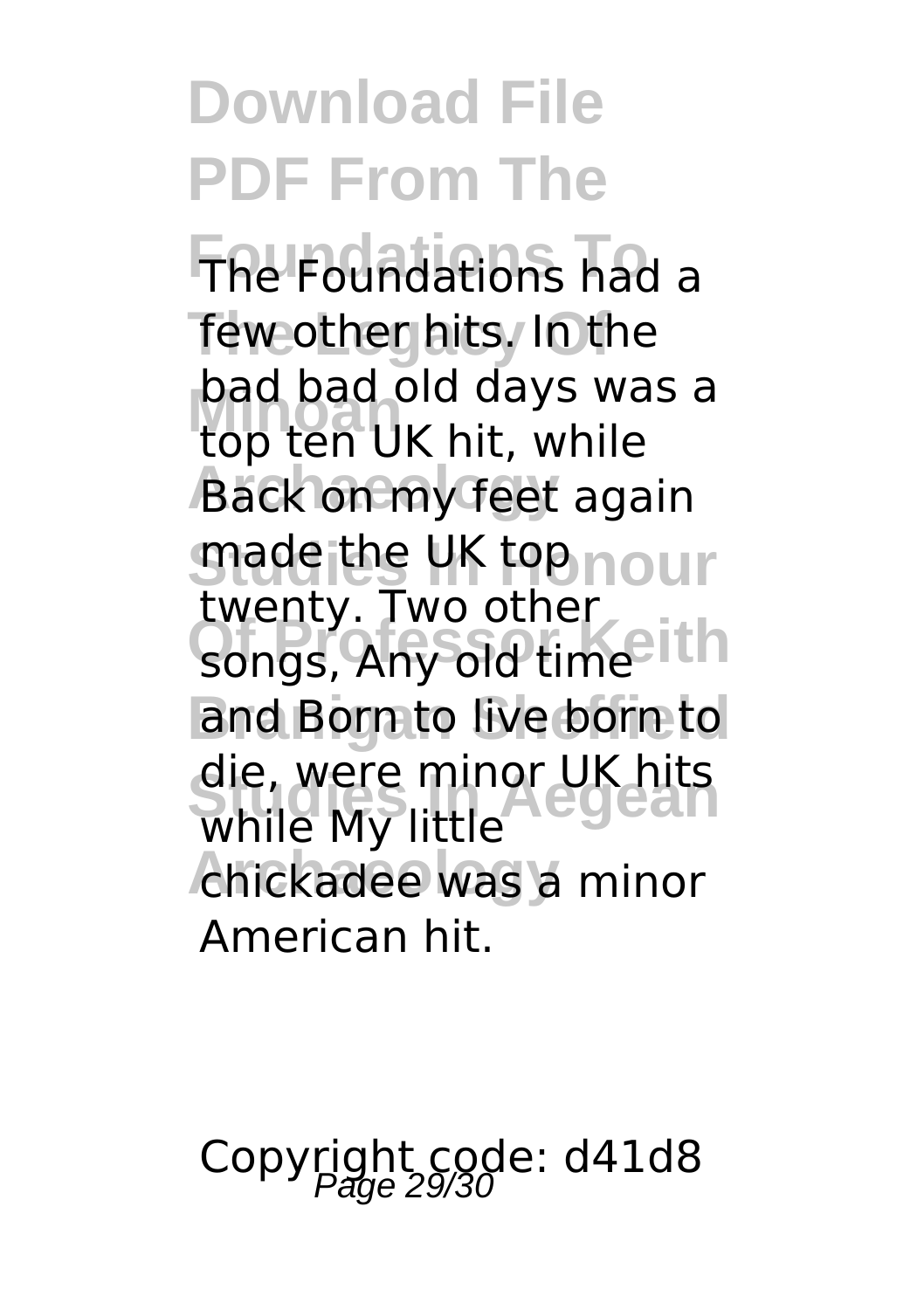**Foundations To** The Foundations had a few other hits. In the **Minoan** top ten UK hit, while **Back on my feet again made the UK top nour** songs, Any old time and Born to live born to die, were minor UK hits<br>While My little chickadee was a minor bad bad old days was a twenty. Two other while My little American hit.

Copyright code: d41d8